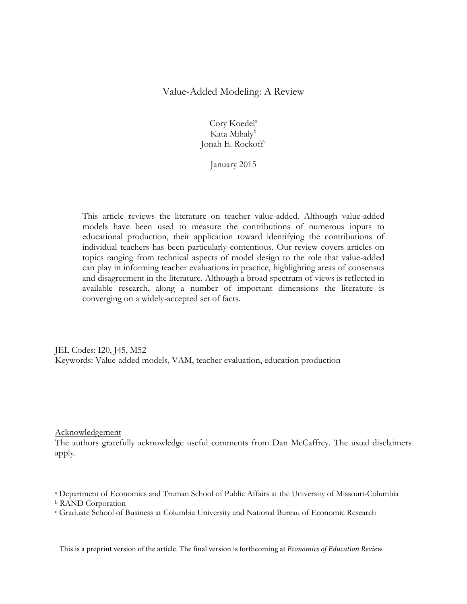# Value-Added Modeling: A Review

Cory Koedel<sup>a</sup> Kata Mihaly<sup>b</sup> Jonah E. Rockoff<sup>c</sup>

January 2015

This article reviews the literature on teacher value-added. Although value-added models have been used to measure the contributions of numerous inputs to educational production, their application toward identifying the contributions of individual teachers has been particularly contentious. Our review covers articles on topics ranging from technical aspects of model design to the role that value-added can play in informing teacher evaluations in practice, highlighting areas of consensus and disagreement in the literature. Although a broad spectrum of views is reflected in available research, along a number of important dimensions the literature is converging on a widely-accepted set of facts.

JEL Codes: I20, J45, M52 Keywords: Value-added models, VAM, teacher evaluation, education production

### Acknowledgement

The authors gratefully acknowledge useful comments from Dan McCaffrey. The usual disclaimers apply.

<sup>a</sup> Department of Economics and Truman School of Public Affairs at the University of Missouri-Columbia <sup>b</sup> RAND Corporation

<sup>c</sup> Graduate School of Business at Columbia University and National Bureau of Economic Research

This is a preprint version of the article. The final version is forthcoming at *Economics of Education Review.*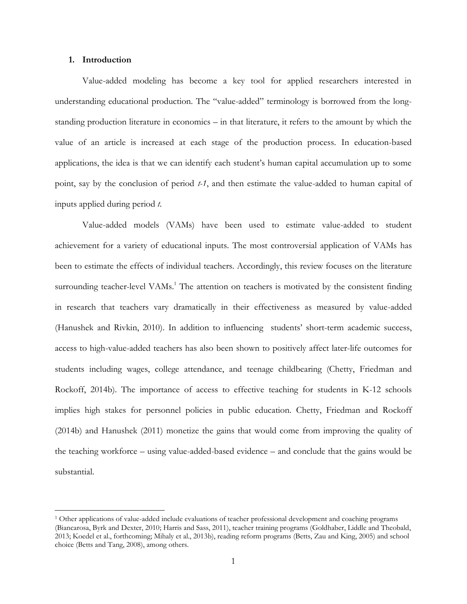#### **1. Introduction**

 $\overline{a}$ 

Value-added modeling has become a key tool for applied researchers interested in understanding educational production. The "value-added" terminology is borrowed from the longstanding production literature in economics – in that literature, it refers to the amount by which the value of an article is increased at each stage of the production process. In education-based applications, the idea is that we can identify each student's human capital accumulation up to some point, say by the conclusion of period *t-1*, and then estimate the value-added to human capital of inputs applied during period *t*.

Value-added models (VAMs) have been used to estimate value-added to student achievement for a variety of educational inputs. The most controversial application of VAMs has been to estimate the effects of individual teachers. Accordingly, this review focuses on the literature surrounding teacher-level VAMs.<sup>1</sup> The attention on teachers is motivated by the consistent finding in research that teachers vary dramatically in their effectiveness as measured by value-added (Hanushek and Rivkin, 2010). In addition to influencing students' short-term academic success, access to high-value-added teachers has also been shown to positively affect later-life outcomes for students including wages, college attendance, and teenage childbearing (Chetty, Friedman and Rockoff, 2014b). The importance of access to effective teaching for students in K-12 schools implies high stakes for personnel policies in public education. Chetty, Friedman and Rockoff (2014b) and Hanushek (2011) monetize the gains that would come from improving the quality of the teaching workforce – using value-added-based evidence – and conclude that the gains would be substantial.

<sup>1</sup> Other applications of value-added include evaluations of teacher professional development and coaching programs (Biancarosa, Byrk and Dexter, 2010; Harris and Sass, 2011), teacher training programs (Goldhaber, Liddle and Theobald, 2013; Koedel et al., forthcoming; Mihaly et al., 2013b), reading reform programs (Betts, Zau and King, 2005) and school choice (Betts and Tang, 2008), among others.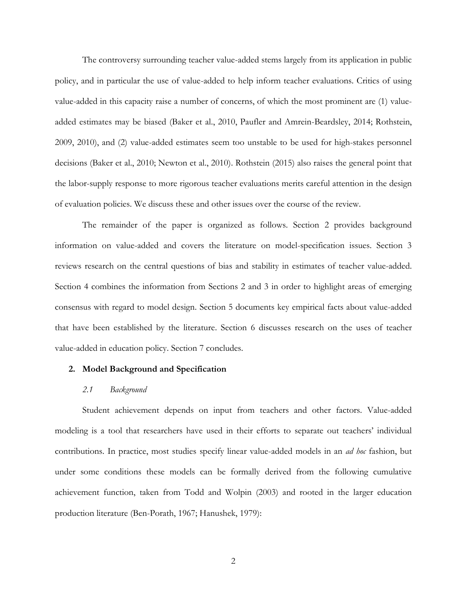The controversy surrounding teacher value-added stems largely from its application in public policy, and in particular the use of value-added to help inform teacher evaluations. Critics of using value-added in this capacity raise a number of concerns, of which the most prominent are (1) valueadded estimates may be biased (Baker et al., 2010, Paufler and Amrein-Beardsley, 2014; Rothstein, 2009, 2010), and (2) value-added estimates seem too unstable to be used for high-stakes personnel decisions (Baker et al., 2010; Newton et al., 2010). Rothstein (2015) also raises the general point that the labor-supply response to more rigorous teacher evaluations merits careful attention in the design of evaluation policies. We discuss these and other issues over the course of the review.

The remainder of the paper is organized as follows. Section 2 provides background information on value-added and covers the literature on model-specification issues. Section 3 reviews research on the central questions of bias and stability in estimates of teacher value-added. Section 4 combines the information from Sections 2 and 3 in order to highlight areas of emerging consensus with regard to model design. Section 5 documents key empirical facts about value-added that have been established by the literature. Section 6 discusses research on the uses of teacher value-added in education policy. Section 7 concludes.

### **2. Model Background and Specification**

### *2.1 Background*

Student achievement depends on input from teachers and other factors. Value-added modeling is a tool that researchers have used in their efforts to separate out teachers' individual contributions. In practice, most studies specify linear value-added models in an *ad hoc* fashion, but under some conditions these models can be formally derived from the following cumulative achievement function, taken from Todd and Wolpin (2003) and rooted in the larger education production literature (Ben-Porath, 1967; Hanushek, 1979):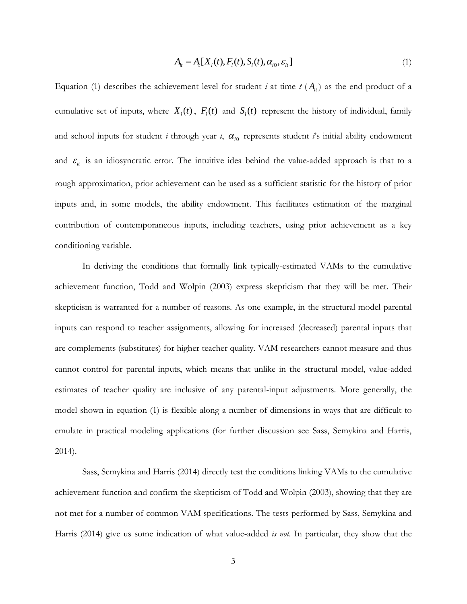$$
A_{it} = A_{t}[X_{i}(t), F_{i}(t), S_{i}(t), \alpha_{i0}, \varepsilon_{it}]
$$
\n(1)

Equation (1) describes the achievement level for student *i* at time  $t(A<sub>i</sub>)$  as the end product of a cumulative set of inputs, where  $X_i(t)$ ,  $F_i(t)$  and  $S_i(t)$  represent the history of individual, family and school inputs for student *i* through year  $t$ ,  $\alpha_{i0}$  represents student  $i$ 's initial ability endowment and  $\varepsilon$ <sub>it</sub> is an idiosyncratic error. The intuitive idea behind the value-added approach is that to a rough approximation, prior achievement can be used as a sufficient statistic for the history of prior inputs and, in some models, the ability endowment. This facilitates estimation of the marginal contribution of contemporaneous inputs, including teachers, using prior achievement as a key conditioning variable.

In deriving the conditions that formally link typically-estimated VAMs to the cumulative achievement function, Todd and Wolpin (2003) express skepticism that they will be met. Their skepticism is warranted for a number of reasons. As one example, in the structural model parental inputs can respond to teacher assignments, allowing for increased (decreased) parental inputs that are complements (substitutes) for higher teacher quality. VAM researchers cannot measure and thus cannot control for parental inputs, which means that unlike in the structural model, value-added estimates of teacher quality are inclusive of any parental-input adjustments. More generally, the model shown in equation (1) is flexible along a number of dimensions in ways that are difficult to emulate in practical modeling applications (for further discussion see Sass, Semykina and Harris, 2014).

Sass, Semykina and Harris (2014) directly test the conditions linking VAMs to the cumulative achievement function and confirm the skepticism of Todd and Wolpin (2003), showing that they are not met for a number of common VAM specifications. The tests performed by Sass, Semykina and Harris (2014) give us some indication of what value-added *is not*. In particular, they show that the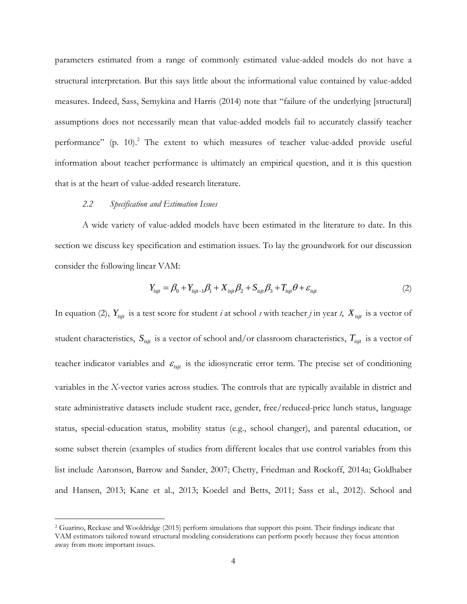parameters estimated from a range of commonly estimated value-added models do not have a structural interpretation. But this says little about the informational value contained by value-added measures. Indeed, Sass, Semykina and Harris (2014) note that "failure of the underlying [structural] assumptions does not necessarily mean that value-added models fail to accurately classify teacher performance" (p. 10).<sup>2</sup> The extent to which measures of teacher value-added provide useful information about teacher performance is ultimately an empirical question, and it is this question that is at the heart of value-added research literature.

#### *2.2 Specification and Estimation Issues*

 $\overline{a}$ 

A wide variety of value-added models have been estimated in the literature to date. In this section we discuss key specification and estimation issues. To lay the groundwork for our discussion consider the following linear VAM:

$$
Y_{isjt} = \beta_0 + Y_{isjt-1}\beta_1 + X_{isjt}\beta_2 + S_{isjt}\beta_3 + T_{isjt}\theta + \varepsilon_{isjt}
$$
\n
$$
(2)
$$

In equation (2),  $Y_{isjt}$  is a test score for student *i* at school *s* with teacher *j* in year *t*,  $X_{isjt}$  is a vector of student characteristics,  $S_{ijt}$  is a vector of school and/or classroom characteristics,  $T_{ijt}$  is a vector of teacher indicator variables and  $\varepsilon_{\text{isjt}}$  is the idiosyncratic error term. The precise set of conditioning variables in the *X*-vector varies across studies. The controls that are typically available in district and state administrative datasets include student race, gender, free/reduced-price lunch status, language status, special-education status, mobility status (e.g., school changer), and parental education, or some subset therein (examples of studies from different locales that use control variables from this list include Aaronson, Barrow and Sander, 2007; Chetty, Friedman and Rockoff, 2014a; Goldhaber and Hansen, 2013; Kane et al., 2013; Koedel and Betts, 2011; Sass et al., 2012). School and

<sup>2</sup> Guarino, Reckase and Wooldridge (2015) perform simulations that support this point. Their findings indicate that VAM estimators tailored toward structural modeling considerations can perform poorly because they focus attention away from more important issues.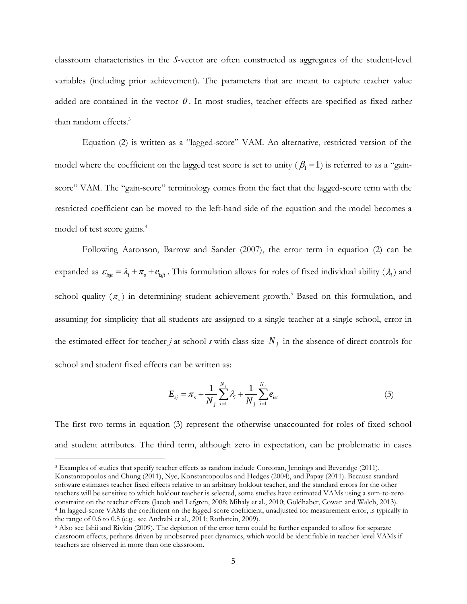classroom characteristics in the *S*-vector are often constructed as aggregates of the student-level variables (including prior achievement). The parameters that are meant to capture teacher value added are contained in the vector  $\theta$ . In most studies, teacher effects are specified as fixed rather than random effects. 3

Equation (2) is written as a "lagged-score" VAM. An alternative, restricted version of the model where the coefficient on the lagged test score is set to unity  $(\beta_1 = 1)$  is referred to as a "gainscore" VAM. The "gain-score" terminology comes from the fact that the lagged-score term with the restricted coefficient can be moved to the left-hand side of the equation and the model becomes a model of test score gains.<sup>4</sup>

Following Aaronson, Barrow and Sander (2007), the error term in equation (2) can be expanded as  $\varepsilon_{isjt} = \lambda_i + \pi_s + e_{isjt}$ . This formulation allows for roles of fixed individual ability ( $\lambda_i$ ) and school quality  $(\pi_s)$  in determining student achievement growth.<sup>5</sup> Based on this formulation, and assuming for simplicity that all students are assigned to a single teacher at a single school, error in the estimated effect for teacher *j* at school *s* with class size  $N_j$  in the absence of direct controls for school and student fixed effects can be written as:

$$
E_{sj} = \pi_s + \frac{1}{N_j} \sum_{i=1}^{N_j} \lambda_i + \frac{1}{N_j} \sum_{i=1}^{N_j} e_{ist}
$$
 (3)

The first two terms in equation (3) represent the otherwise unaccounted for roles of fixed school and student attributes. The third term, although zero in expectation, can be problematic in cases

<sup>3</sup> Examples of studies that specify teacher effects as random include Corcoran, Jennings and Beveridge (2011), Konstantopoulos and Chung (2011), Nye, Konstantopoulos and Hedges (2004), and Papay (2011). Because standard software estimates teacher fixed effects relative to an arbitrary holdout teacher, and the standard errors for the other teachers will be sensitive to which holdout teacher is selected, some studies have estimated VAMs using a sum-to-zero constraint on the teacher effects (Jacob and Lefgren, 2008; Mihaly et al., 2010; Goldhaber, Cowan and Walch, 2013). <sup>4</sup> In lagged-score VAMs the coefficient on the lagged-score coefficient, unadjusted for measurement error, is typically in the range of 0.6 to 0.8 (e.g., see Andrabi et al., 2011; Rothstein, 2009).

<sup>5</sup> Also see Ishii and Rivkin (2009). The depiction of the error term could be further expanded to allow for separate classroom effects, perhaps driven by unobserved peer dynamics, which would be identifiable in teacher-level VAMs if teachers are observed in more than one classroom.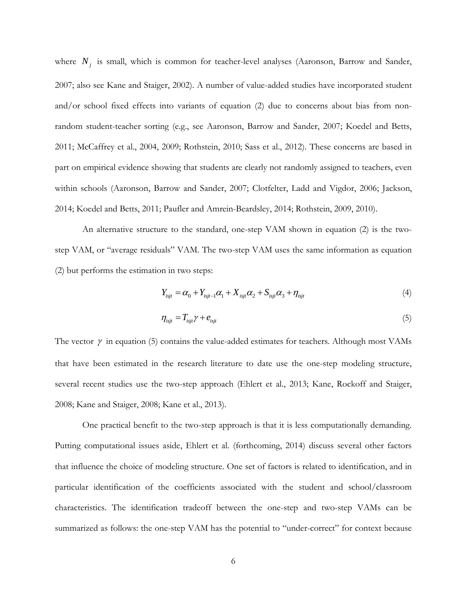where  $N_j$  is small, which is common for teacher-level analyses (Aaronson, Barrow and Sander, 2007; also see Kane and Staiger, 2002). A number of value-added studies have incorporated student and/or school fixed effects into variants of equation (2) due to concerns about bias from nonrandom student-teacher sorting (e.g., see Aaronson, Barrow and Sander, 2007; Koedel and Betts, 2011; McCaffrey et al., 2004, 2009; Rothstein, 2010; Sass et al., 2012). These concerns are based in part on empirical evidence showing that students are clearly not randomly assigned to teachers, even within schools (Aaronson, Barrow and Sander, 2007; Clotfelter, Ladd and Vigdor, 2006; Jackson, 2014; Koedel and Betts, 2011; Paufler and Amrein-Beardsley, 2014; Rothstein, 2009, 2010).

An alternative structure to the standard, one-step VAM shown in equation (2) is the twostep VAM, or "average residuals" VAM. The two-step VAM uses the same information as equation (2) but performs the estimation in two steps:

$$
Y_{isjt} = \alpha_0 + Y_{isjt-1}\alpha_1 + X_{isjt}\alpha_2 + S_{isjt}\alpha_3 + \eta_{isjt}
$$
\n(4)

$$
\eta_{\text{isjt}} = T_{\text{isjt}} \gamma + e_{\text{isjt}} \tag{5}
$$

The vector  $\gamma$  in equation (5) contains the value-added estimates for teachers. Although most VAMs that have been estimated in the research literature to date use the one-step modeling structure, several recent studies use the two-step approach (Ehlert et al., 2013; Kane, Rockoff and Staiger, 2008; Kane and Staiger, 2008; Kane et al., 2013).

One practical benefit to the two-step approach is that it is less computationally demanding. Putting computational issues aside, Ehlert et al. (forthcoming, 2014) discuss several other factors that influence the choice of modeling structure. One set of factors is related to identification, and in particular identification of the coefficients associated with the student and school/classroom characteristics. The identification tradeoff between the one-step and two-step VAMs can be summarized as follows: the one-step VAM has the potential to "under-correct" for context because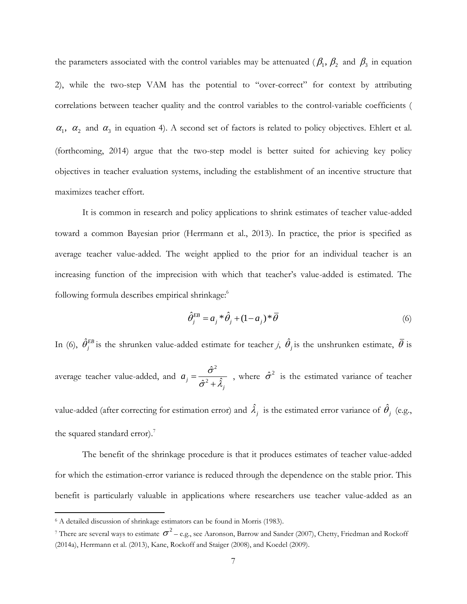the parameters associated with the control variables may be attenuated ( $\beta_1$ ,  $\beta_2$  and  $\beta_3$  in equation 2), while the two-step VAM has the potential to "over-correct" for context by attributing correlations between teacher quality and the control variables to the control-variable coefficients (  $\alpha_1$ ,  $\alpha_2$  and  $\alpha_3$  in equation 4). A second set of factors is related to policy objectives. Ehlert et al. (forthcoming, 2014) argue that the two-step model is better suited for achieving key policy objectives in teacher evaluation systems, including the establishment of an incentive structure that maximizes teacher effort.

It is common in research and policy applications to shrink estimates of teacher value-added toward a common Bayesian prior (Herrmann et al., 2013). In practice, the prior is specified as average teacher value-added. The weight applied to the prior for an individual teacher is an increasing function of the imprecision with which that teacher's value-added is estimated. The following formula describes empirical shrinkage:<sup>6</sup>

$$
\hat{\theta}_{j}^{EB} = a_j \cdot \hat{\theta}_j + (1 - a_j) \cdot \overline{\theta}
$$
\n(6)

In (6),  $\hat{\theta}^{EB}_j$  is the shrunken value-added estimate for teacher *j*,  $\hat{\theta}_j$  is the unshrunken estimate,  $\bar{\theta}$  is average teacher value-added, and 2 2 ˆ  $j = \frac{\partial^2}{\partial x^2} + \hat{\lambda}$ *j*  $a_j = \frac{\sigma^2}{\hat{\sigma}^2 + \hat{\lambda}_j}$  $\overline{+}$ , where  $\hat{\sigma}^2$  is the estimated variance of teacher

value-added (after correcting for estimation error) and  $\hat{\lambda}_j$  is the estimated error variance of  $\hat{\theta}_j$  (e.g., the squared standard error).<sup>7</sup>

The benefit of the shrinkage procedure is that it produces estimates of teacher value-added for which the estimation-error variance is reduced through the dependence on the stable prior. This benefit is particularly valuable in applications where researchers use teacher value-added as an

<sup>&</sup>lt;sup>6</sup> A detailed discussion of shrinkage estimators can be found in Morris (1983).

<sup>&</sup>lt;sup>7</sup> There are several ways to estimate  $\sigma^2$  – e.g., see Aaronson, Barrow and Sander (2007), Chetty, Friedman and Rockoff (2014a), Herrmann et al. (2013), Kane, Rockoff and Staiger (2008), and Koedel (2009).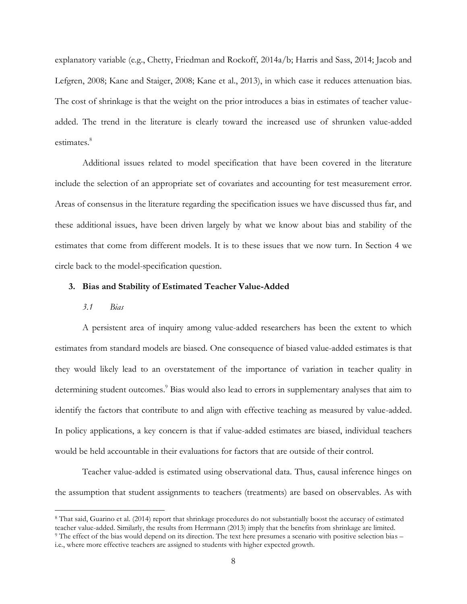explanatory variable (e.g., Chetty, Friedman and Rockoff, 2014a/b; Harris and Sass, 2014; Jacob and Lefgren, 2008; Kane and Staiger, 2008; Kane et al., 2013), in which case it reduces attenuation bias. The cost of shrinkage is that the weight on the prior introduces a bias in estimates of teacher valueadded. The trend in the literature is clearly toward the increased use of shrunken value-added estimates.<sup>8</sup>

Additional issues related to model specification that have been covered in the literature include the selection of an appropriate set of covariates and accounting for test measurement error. Areas of consensus in the literature regarding the specification issues we have discussed thus far, and these additional issues, have been driven largely by what we know about bias and stability of the estimates that come from different models. It is to these issues that we now turn. In Section 4 we circle back to the model-specification question.

### **3. Bias and Stability of Estimated Teacher Value-Added**

# *3.1 Bias*

 $\overline{a}$ 

A persistent area of inquiry among value-added researchers has been the extent to which estimates from standard models are biased. One consequence of biased value-added estimates is that they would likely lead to an overstatement of the importance of variation in teacher quality in determining student outcomes.<sup>9</sup> Bias would also lead to errors in supplementary analyses that aim to identify the factors that contribute to and align with effective teaching as measured by value-added. In policy applications, a key concern is that if value-added estimates are biased, individual teachers would be held accountable in their evaluations for factors that are outside of their control.

Teacher value-added is estimated using observational data. Thus, causal inference hinges on the assumption that student assignments to teachers (treatments) are based on observables. As with

<sup>8</sup> That said, Guarino et al. (2014) report that shrinkage procedures do not substantially boost the accuracy of estimated teacher value-added. Similarly, the results from Herrmann (2013) imply that the benefits from shrinkage are limited. <sup>9</sup> The effect of the bias would depend on its direction. The text here presumes a scenario with positive selection bias – i.e., where more effective teachers are assigned to students with higher expected growth.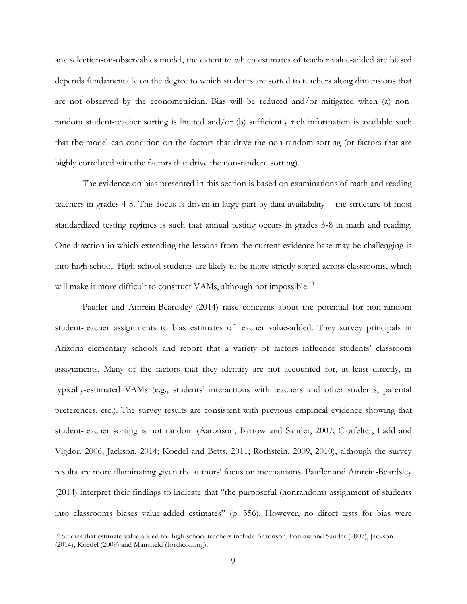any selection-on-observables model, the extent to which estimates of teacher value-added are biased depends fundamentally on the degree to which students are sorted to teachers along dimensions that are not observed by the econometrician. Bias will be reduced and/or mitigated when (a) nonrandom student-teacher sorting is limited and/or (b) sufficiently rich information is available such that the model can condition on the factors that drive the non-random sorting (or factors that are highly correlated with the factors that drive the non-random sorting).

The evidence on bias presented in this section is based on examinations of math and reading teachers in grades 4-8. This focus is driven in large part by data availability – the structure of most standardized testing regimes is such that annual testing occurs in grades 3-8 in math and reading. One direction in which extending the lessons from the current evidence base may be challenging is into high school. High school students are likely to be more-strictly sorted across classrooms, which will make it more difficult to construct VAMs, although not impossible.<sup>10</sup>

Paufler and Amrein-Beardsley (2014) raise concerns about the potential for non-random student-teacher assignments to bias estimates of teacher value-added. They survey principals in Arizona elementary schools and report that a variety of factors influence students' classroom assignments. Many of the factors that they identify are not accounted for, at least directly, in typically-estimated VAMs (e.g., students' interactions with teachers and other students, parental preferences, etc.). The survey results are consistent with previous empirical evidence showing that student-teacher sorting is not random (Aaronson, Barrow and Sander, 2007; Clotfelter, Ladd and Vigdor, 2006; Jackson, 2014; Koedel and Betts, 2011; Rothstein, 2009, 2010), although the survey results are more illuminating given the authors' focus on mechanisms. Paufler and Amrein-Beardsley (2014) interpret their findings to indicate that "the purposeful (nonrandom) assignment of students into classrooms biases value-added estimates" (p. 356). However, no direct tests for bias were

<sup>10</sup> Studies that estimate value added for high school teachers include Aaronson, Barrow and Sander (2007), Jackson (2014), Koedel (2009) and Mansfield (forthcoming).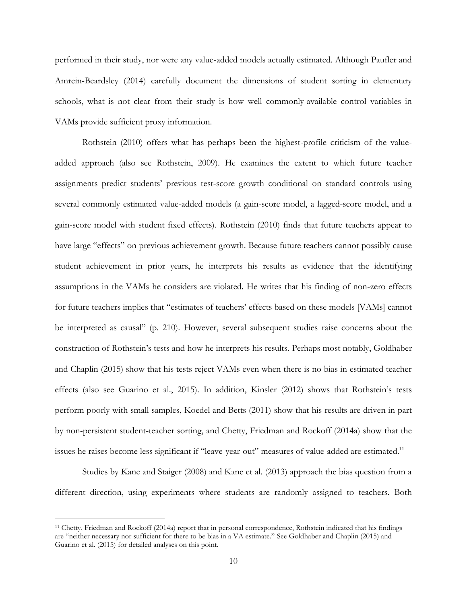performed in their study, nor were any value-added models actually estimated. Although Paufler and Amrein-Beardsley (2014) carefully document the dimensions of student sorting in elementary schools, what is not clear from their study is how well commonly-available control variables in VAMs provide sufficient proxy information.

Rothstein (2010) offers what has perhaps been the highest-profile criticism of the valueadded approach (also see Rothstein, 2009). He examines the extent to which future teacher assignments predict students' previous test-score growth conditional on standard controls using several commonly estimated value-added models (a gain-score model, a lagged-score model, and a gain-score model with student fixed effects). Rothstein (2010) finds that future teachers appear to have large "effects" on previous achievement growth. Because future teachers cannot possibly cause student achievement in prior years, he interprets his results as evidence that the identifying assumptions in the VAMs he considers are violated. He writes that his finding of non-zero effects for future teachers implies that "estimates of teachers' effects based on these models [VAMs] cannot be interpreted as causal" (p. 210). However, several subsequent studies raise concerns about the construction of Rothstein's tests and how he interprets his results. Perhaps most notably, Goldhaber and Chaplin (2015) show that his tests reject VAMs even when there is no bias in estimated teacher effects (also see Guarino et al., 2015). In addition, Kinsler (2012) shows that Rothstein's tests perform poorly with small samples, Koedel and Betts (2011) show that his results are driven in part by non-persistent student-teacher sorting, and Chetty, Friedman and Rockoff (2014a) show that the issues he raises become less significant if "leave-year-out" measures of value-added are estimated.<sup>11</sup>

Studies by Kane and Staiger (2008) and Kane et al. (2013) approach the bias question from a different direction, using experiments where students are randomly assigned to teachers. Both

<sup>11</sup> Chetty, Friedman and Rockoff (2014a) report that in personal correspondence, Rothstein indicated that his findings are "neither necessary nor sufficient for there to be bias in a VA estimate." See Goldhaber and Chaplin (2015) and Guarino et al. (2015) for detailed analyses on this point.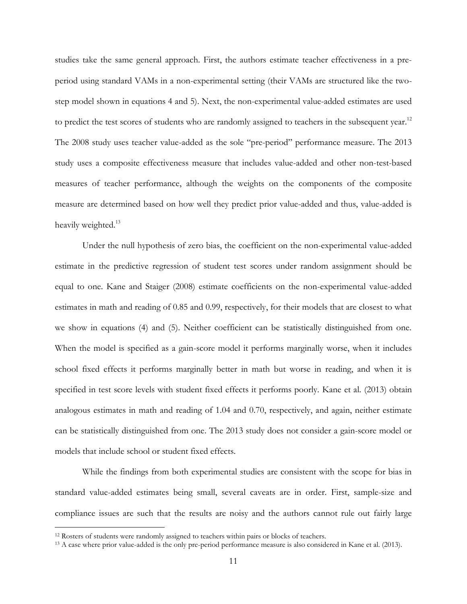studies take the same general approach. First, the authors estimate teacher effectiveness in a preperiod using standard VAMs in a non-experimental setting (their VAMs are structured like the twostep model shown in equations 4 and 5). Next, the non-experimental value-added estimates are used to predict the test scores of students who are randomly assigned to teachers in the subsequent year.<sup>12</sup> The 2008 study uses teacher value-added as the sole "pre-period" performance measure. The 2013 study uses a composite effectiveness measure that includes value-added and other non-test-based measures of teacher performance, although the weights on the components of the composite measure are determined based on how well they predict prior value-added and thus, value-added is heavily weighted.<sup>13</sup>

Under the null hypothesis of zero bias, the coefficient on the non-experimental value-added estimate in the predictive regression of student test scores under random assignment should be equal to one. Kane and Staiger (2008) estimate coefficients on the non-experimental value-added estimates in math and reading of 0.85 and 0.99, respectively, for their models that are closest to what we show in equations (4) and (5). Neither coefficient can be statistically distinguished from one. When the model is specified as a gain-score model it performs marginally worse, when it includes school fixed effects it performs marginally better in math but worse in reading, and when it is specified in test score levels with student fixed effects it performs poorly. Kane et al. (2013) obtain analogous estimates in math and reading of 1.04 and 0.70, respectively, and again, neither estimate can be statistically distinguished from one. The 2013 study does not consider a gain-score model or models that include school or student fixed effects.

While the findings from both experimental studies are consistent with the scope for bias in standard value-added estimates being small, several caveats are in order. First, sample-size and compliance issues are such that the results are noisy and the authors cannot rule out fairly large

<sup>&</sup>lt;sup>12</sup> Rosters of students were randomly assigned to teachers within pairs or blocks of teachers.

<sup>&</sup>lt;sup>13</sup> A case where prior value-added is the only pre-period performance measure is also considered in Kane et al. (2013).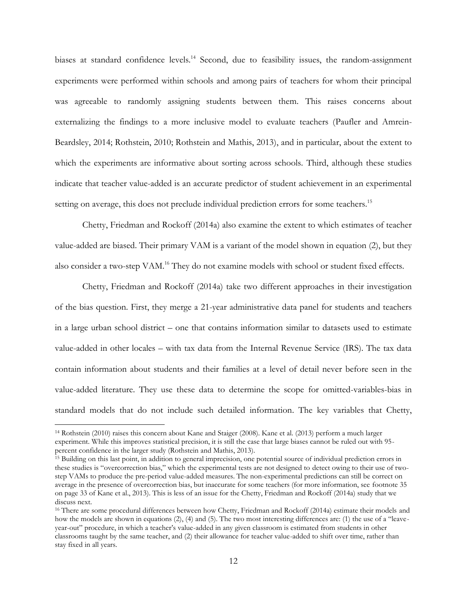biases at standard confidence levels.<sup>14</sup> Second, due to feasibility issues, the random-assignment experiments were performed within schools and among pairs of teachers for whom their principal was agreeable to randomly assigning students between them. This raises concerns about externalizing the findings to a more inclusive model to evaluate teachers (Paufler and Amrein-Beardsley, 2014; Rothstein, 2010; Rothstein and Mathis, 2013), and in particular, about the extent to which the experiments are informative about sorting across schools. Third, although these studies indicate that teacher value-added is an accurate predictor of student achievement in an experimental setting on average, this does not preclude individual prediction errors for some teachers.<sup>15</sup>

Chetty, Friedman and Rockoff (2014a) also examine the extent to which estimates of teacher value-added are biased. Their primary VAM is a variant of the model shown in equation (2), but they also consider a two-step VAM.<sup>16</sup> They do not examine models with school or student fixed effects.

Chetty, Friedman and Rockoff (2014a) take two different approaches in their investigation of the bias question. First, they merge a 21-year administrative data panel for students and teachers in a large urban school district – one that contains information similar to datasets used to estimate value-added in other locales – with tax data from the Internal Revenue Service (IRS). The tax data contain information about students and their families at a level of detail never before seen in the value-added literature. They use these data to determine the scope for omitted-variables-bias in standard models that do not include such detailed information. The key variables that Chetty,

<sup>14</sup> Rothstein (2010) raises this concern about Kane and Staiger (2008). Kane et al. (2013) perform a much larger experiment. While this improves statistical precision, it is still the case that large biases cannot be ruled out with 95 percent confidence in the larger study (Rothstein and Mathis, 2013).

<sup>&</sup>lt;sup>15</sup> Building on this last point, in addition to general imprecision, one potential source of individual prediction errors in these studies is "overcorrection bias," which the experimental tests are not designed to detect owing to their use of twostep VAMs to produce the pre-period value-added measures. The non-experimental predictions can still be correct on average in the presence of overcorrection bias, but inaccurate for some teachers (for more information, see footnote 35 on page 33 of Kane et al., 2013). This is less of an issue for the Chetty, Friedman and Rockoff (2014a) study that we discuss next.

<sup>&</sup>lt;sup>16</sup> There are some procedural differences between how Chetty, Friedman and Rockoff (2014a) estimate their models and how the models are shown in equations (2), (4) and (5). The two most interesting differences are: (1) the use of a "leaveyear-out" procedure, in which a teacher's value-added in any given classroom is estimated from students in other classrooms taught by the same teacher, and (2) their allowance for teacher value-added to shift over time, rather than stay fixed in all years.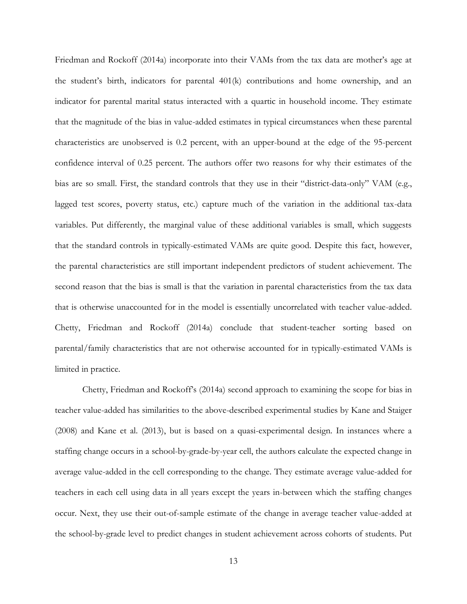Friedman and Rockoff (2014a) incorporate into their VAMs from the tax data are mother's age at the student's birth, indicators for parental 401(k) contributions and home ownership, and an indicator for parental marital status interacted with a quartic in household income. They estimate that the magnitude of the bias in value-added estimates in typical circumstances when these parental characteristics are unobserved is 0.2 percent, with an upper-bound at the edge of the 95-percent confidence interval of 0.25 percent. The authors offer two reasons for why their estimates of the bias are so small. First, the standard controls that they use in their "district-data-only" VAM (e.g., lagged test scores, poverty status, etc.) capture much of the variation in the additional tax-data variables. Put differently, the marginal value of these additional variables is small, which suggests that the standard controls in typically-estimated VAMs are quite good. Despite this fact, however, the parental characteristics are still important independent predictors of student achievement. The second reason that the bias is small is that the variation in parental characteristics from the tax data that is otherwise unaccounted for in the model is essentially uncorrelated with teacher value-added. Chetty, Friedman and Rockoff (2014a) conclude that student-teacher sorting based on parental/family characteristics that are not otherwise accounted for in typically-estimated VAMs is limited in practice.

Chetty, Friedman and Rockoff's (2014a) second approach to examining the scope for bias in teacher value-added has similarities to the above-described experimental studies by Kane and Staiger (2008) and Kane et al. (2013), but is based on a quasi-experimental design. In instances where a staffing change occurs in a school-by-grade-by-year cell, the authors calculate the expected change in average value-added in the cell corresponding to the change. They estimate average value-added for teachers in each cell using data in all years except the years in-between which the staffing changes occur. Next, they use their out-of-sample estimate of the change in average teacher value-added at the school-by-grade level to predict changes in student achievement across cohorts of students. Put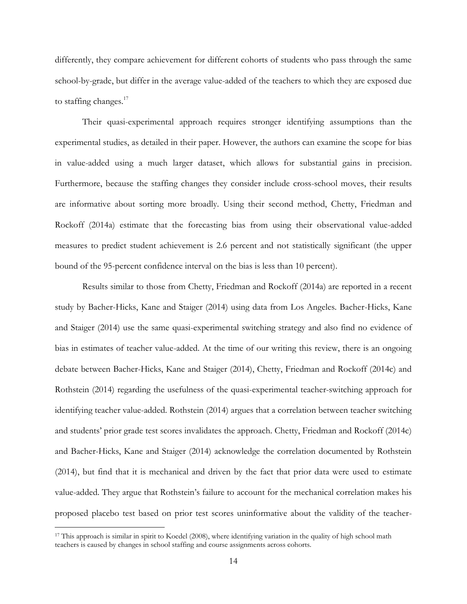differently, they compare achievement for different cohorts of students who pass through the same school-by-grade, but differ in the average value-added of the teachers to which they are exposed due to staffing changes. $17$ 

Their quasi-experimental approach requires stronger identifying assumptions than the experimental studies, as detailed in their paper. However, the authors can examine the scope for bias in value-added using a much larger dataset, which allows for substantial gains in precision. Furthermore, because the staffing changes they consider include cross-school moves, their results are informative about sorting more broadly. Using their second method, Chetty, Friedman and Rockoff (2014a) estimate that the forecasting bias from using their observational value-added measures to predict student achievement is 2.6 percent and not statistically significant (the upper bound of the 95-percent confidence interval on the bias is less than 10 percent).

Results similar to those from Chetty, Friedman and Rockoff (2014a) are reported in a recent study by Bacher-Hicks, Kane and Staiger (2014) using data from Los Angeles. Bacher-Hicks, Kane and Staiger (2014) use the same quasi-experimental switching strategy and also find no evidence of bias in estimates of teacher value-added. At the time of our writing this review, there is an ongoing debate between Bacher-Hicks, Kane and Staiger (2014), Chetty, Friedman and Rockoff (2014c) and Rothstein (2014) regarding the usefulness of the quasi-experimental teacher-switching approach for identifying teacher value-added. Rothstein (2014) argues that a correlation between teacher switching and students' prior grade test scores invalidates the approach. Chetty, Friedman and Rockoff (2014c) and Bacher-Hicks, Kane and Staiger (2014) acknowledge the correlation documented by Rothstein (2014), but find that it is mechanical and driven by the fact that prior data were used to estimate value-added. They argue that Rothstein's failure to account for the mechanical correlation makes his proposed placebo test based on prior test scores uninformative about the validity of the teacher-

<sup>&</sup>lt;sup>17</sup> This approach is similar in spirit to Koedel (2008), where identifying variation in the quality of high school math teachers is caused by changes in school staffing and course assignments across cohorts.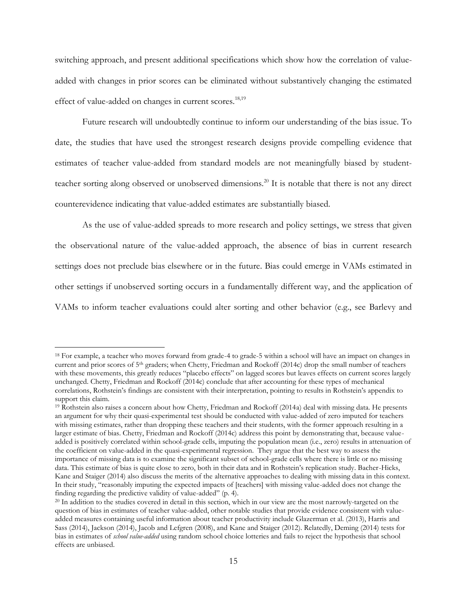switching approach, and present additional specifications which show how the correlation of valueadded with changes in prior scores can be eliminated without substantively changing the estimated effect of value-added on changes in current scores.<sup>18,19</sup>

Future research will undoubtedly continue to inform our understanding of the bias issue. To date, the studies that have used the strongest research designs provide compelling evidence that estimates of teacher value-added from standard models are not meaningfully biased by studentteacher sorting along observed or unobserved dimensions.<sup>20</sup> It is notable that there is not any direct counterevidence indicating that value-added estimates are substantially biased.

As the use of value-added spreads to more research and policy settings, we stress that given the observational nature of the value-added approach, the absence of bias in current research settings does not preclude bias elsewhere or in the future. Bias could emerge in VAMs estimated in other settings if unobserved sorting occurs in a fundamentally different way, and the application of VAMs to inform teacher evaluations could alter sorting and other behavior (e.g., see Barlevy and

<sup>&</sup>lt;sup>18</sup> For example, a teacher who moves forward from grade-4 to grade-5 within a school will have an impact on changes in current and prior scores of 5th graders; when Chetty, Friedman and Rockoff (2014c) drop the small number of teachers with these movements, this greatly reduces "placebo effects" on lagged scores but leaves effects on current scores largely unchanged. Chetty, Friedman and Rockoff (2014c) conclude that after accounting for these types of mechanical correlations, Rothstein's findings are consistent with their interpretation, pointing to results in Rothstein's appendix to support this claim.

<sup>19</sup> Rothstein also raises a concern about how Chetty, Friedman and Rockoff (2014a) deal with missing data. He presents an argument for why their quasi-experimental test should be conducted with value-added of zero imputed for teachers with missing estimates, rather than dropping these teachers and their students, with the former approach resulting in a larger estimate of bias. Chetty, Friedman and Rockoff (2014c) address this point by demonstrating that, because valueadded is positively correlated within school-grade cells, imputing the population mean (i.e., zero) results in attenuation of the coefficient on value-added in the quasi-experimental regression. They argue that the best way to assess the importance of missing data is to examine the significant subset of school-grade cells where there is little or no missing data. This estimate of bias is quite close to zero, both in their data and in Rothstein's replication study. Bacher-Hicks, Kane and Staiger (2014) also discuss the merits of the alternative approaches to dealing with missing data in this context. In their study, "reasonably imputing the expected impacts of [teachers] with missing value-added does not change the finding regarding the predictive validity of value-added" (p. 4).

<sup>&</sup>lt;sup>20</sup> In addition to the studies covered in detail in this section, which in our view are the most narrowly-targeted on the question of bias in estimates of teacher value-added, other notable studies that provide evidence consistent with valueadded measures containing useful information about teacher productivity include Glazerman et al. (2013), Harris and Sass (2014), Jackson (2014), Jacob and Lefgren (2008), and Kane and Staiger (2012). Relatedly, Deming (2014) tests for bias in estimates of *school value-added* using random school choice lotteries and fails to reject the hypothesis that school effects are unbiased.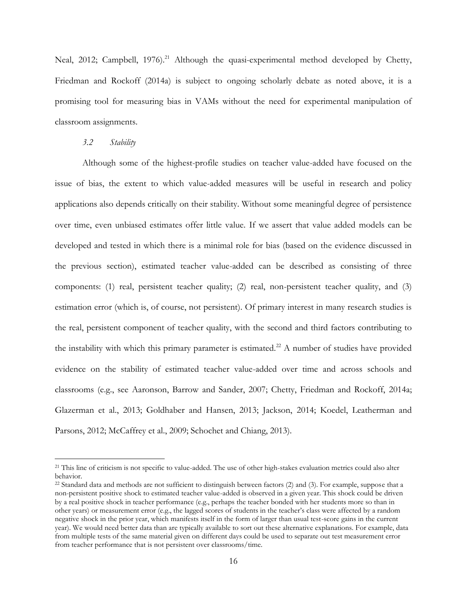Neal, 2012; Campbell, 1976).<sup>21</sup> Although the quasi-experimental method developed by Chetty, Friedman and Rockoff (2014a) is subject to ongoing scholarly debate as noted above, it is a promising tool for measuring bias in VAMs without the need for experimental manipulation of classroom assignments.

### *3.2 Stability*

 $\overline{a}$ 

Although some of the highest-profile studies on teacher value-added have focused on the issue of bias, the extent to which value-added measures will be useful in research and policy applications also depends critically on their stability. Without some meaningful degree of persistence over time, even unbiased estimates offer little value. If we assert that value added models can be developed and tested in which there is a minimal role for bias (based on the evidence discussed in the previous section), estimated teacher value-added can be described as consisting of three components: (1) real, persistent teacher quality; (2) real, non-persistent teacher quality, and (3) estimation error (which is, of course, not persistent). Of primary interest in many research studies is the real, persistent component of teacher quality, with the second and third factors contributing to the instability with which this primary parameter is estimated.<sup>22</sup> A number of studies have provided evidence on the stability of estimated teacher value-added over time and across schools and classrooms (e.g., see Aaronson, Barrow and Sander, 2007; Chetty, Friedman and Rockoff, 2014a; Glazerman et al., 2013; Goldhaber and Hansen, 2013; Jackson, 2014; Koedel, Leatherman and Parsons, 2012; McCaffrey et al., 2009; Schochet and Chiang, 2013).

<sup>&</sup>lt;sup>21</sup> This line of criticism is not specific to value-added. The use of other high-stakes evaluation metrics could also alter behavior.

 $22$  Standard data and methods are not sufficient to distinguish between factors (2) and (3). For example, suppose that a non-persistent positive shock to estimated teacher value-added is observed in a given year. This shock could be driven by a real positive shock in teacher performance (e.g., perhaps the teacher bonded with her students more so than in other years) or measurement error (e.g., the lagged scores of students in the teacher's class were affected by a random negative shock in the prior year, which manifests itself in the form of larger than usual test-score gains in the current year). We would need better data than are typically available to sort out these alternative explanations. For example, data from multiple tests of the same material given on different days could be used to separate out test measurement error from teacher performance that is not persistent over classrooms/time.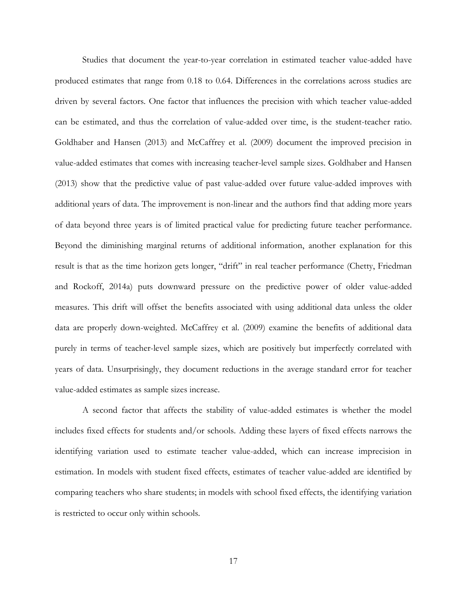Studies that document the year-to-year correlation in estimated teacher value-added have produced estimates that range from 0.18 to 0.64. Differences in the correlations across studies are driven by several factors. One factor that influences the precision with which teacher value-added can be estimated, and thus the correlation of value-added over time, is the student-teacher ratio. Goldhaber and Hansen (2013) and McCaffrey et al. (2009) document the improved precision in value-added estimates that comes with increasing teacher-level sample sizes. Goldhaber and Hansen (2013) show that the predictive value of past value-added over future value-added improves with additional years of data. The improvement is non-linear and the authors find that adding more years of data beyond three years is of limited practical value for predicting future teacher performance. Beyond the diminishing marginal returns of additional information, another explanation for this result is that as the time horizon gets longer, "drift" in real teacher performance (Chetty, Friedman and Rockoff, 2014a) puts downward pressure on the predictive power of older value-added measures. This drift will offset the benefits associated with using additional data unless the older data are properly down-weighted. McCaffrey et al. (2009) examine the benefits of additional data purely in terms of teacher-level sample sizes, which are positively but imperfectly correlated with years of data. Unsurprisingly, they document reductions in the average standard error for teacher value-added estimates as sample sizes increase.

A second factor that affects the stability of value-added estimates is whether the model includes fixed effects for students and/or schools. Adding these layers of fixed effects narrows the identifying variation used to estimate teacher value-added, which can increase imprecision in estimation. In models with student fixed effects, estimates of teacher value-added are identified by comparing teachers who share students; in models with school fixed effects, the identifying variation is restricted to occur only within schools.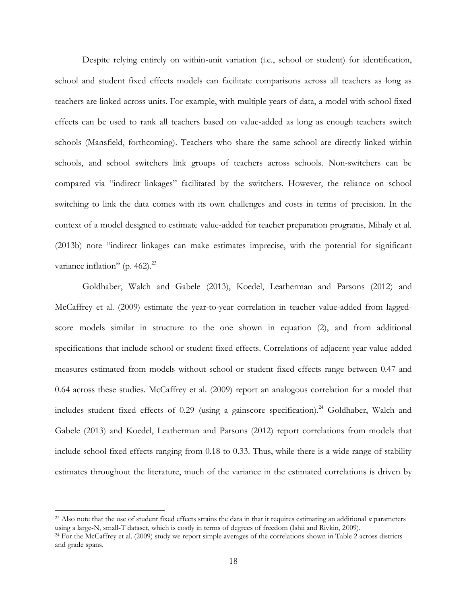Despite relying entirely on within-unit variation (i.e., school or student) for identification, school and student fixed effects models can facilitate comparisons across all teachers as long as teachers are linked across units. For example, with multiple years of data, a model with school fixed effects can be used to rank all teachers based on value-added as long as enough teachers switch schools (Mansfield, forthcoming). Teachers who share the same school are directly linked within schools, and school switchers link groups of teachers across schools. Non-switchers can be compared via "indirect linkages" facilitated by the switchers. However, the reliance on school switching to link the data comes with its own challenges and costs in terms of precision. In the context of a model designed to estimate value-added for teacher preparation programs, Mihaly et al. (2013b) note "indirect linkages can make estimates imprecise, with the potential for significant variance inflation" (p. 462). $^{23}$ 

Goldhaber, Walch and Gabele (2013), Koedel, Leatherman and Parsons (2012) and McCaffrey et al. (2009) estimate the year-to-year correlation in teacher value-added from laggedscore models similar in structure to the one shown in equation (2), and from additional specifications that include school or student fixed effects. Correlations of adjacent year value-added measures estimated from models without school or student fixed effects range between 0.47 and 0.64 across these studies. McCaffrey et al. (2009) report an analogous correlation for a model that includes student fixed effects of 0.29 (using a gainscore specification). <sup>24</sup> Goldhaber, Walch and Gabele (2013) and Koedel, Leatherman and Parsons (2012) report correlations from models that include school fixed effects ranging from 0.18 to 0.33. Thus, while there is a wide range of stability estimates throughout the literature, much of the variance in the estimated correlations is driven by

<sup>23</sup> Also note that the use of student fixed effects strains the data in that it requires estimating an additional *n* parameters using a large-N, small-T dataset, which is costly in terms of degrees of freedom (Ishii and Rivkin, 2009).

<sup>&</sup>lt;sup>24</sup> For the McCaffrey et al. (2009) study we report simple averages of the correlations shown in Table 2 across districts and grade spans.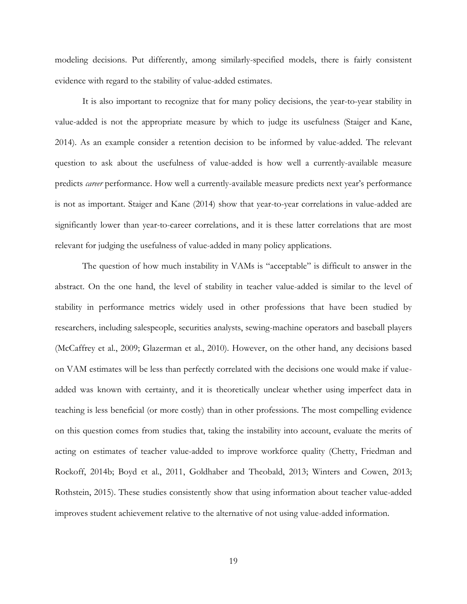modeling decisions. Put differently, among similarly-specified models, there is fairly consistent evidence with regard to the stability of value-added estimates.

It is also important to recognize that for many policy decisions, the year-to-year stability in value-added is not the appropriate measure by which to judge its usefulness (Staiger and Kane, 2014). As an example consider a retention decision to be informed by value-added. The relevant question to ask about the usefulness of value-added is how well a currently-available measure predicts *career* performance. How well a currently-available measure predicts next year's performance is not as important. Staiger and Kane (2014) show that year-to-year correlations in value-added are significantly lower than year-to-career correlations, and it is these latter correlations that are most relevant for judging the usefulness of value-added in many policy applications.

The question of how much instability in VAMs is "acceptable" is difficult to answer in the abstract. On the one hand, the level of stability in teacher value-added is similar to the level of stability in performance metrics widely used in other professions that have been studied by researchers, including salespeople, securities analysts, sewing-machine operators and baseball players (McCaffrey et al., 2009; Glazerman et al., 2010). However, on the other hand, any decisions based on VAM estimates will be less than perfectly correlated with the decisions one would make if valueadded was known with certainty, and it is theoretically unclear whether using imperfect data in teaching is less beneficial (or more costly) than in other professions. The most compelling evidence on this question comes from studies that, taking the instability into account, evaluate the merits of acting on estimates of teacher value-added to improve workforce quality (Chetty, Friedman and Rockoff, 2014b; Boyd et al., 2011, Goldhaber and Theobald, 2013; Winters and Cowen, 2013; Rothstein, 2015). These studies consistently show that using information about teacher value-added improves student achievement relative to the alternative of not using value-added information.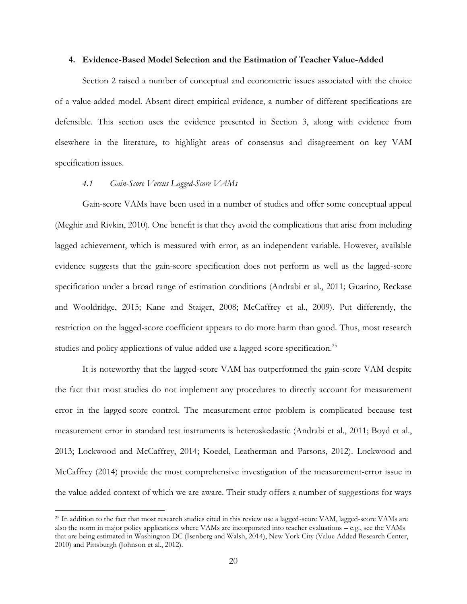### **4. Evidence-Based Model Selection and the Estimation of Teacher Value-Added**

Section 2 raised a number of conceptual and econometric issues associated with the choice of a value-added model. Absent direct empirical evidence, a number of different specifications are defensible. This section uses the evidence presented in Section 3, along with evidence from elsewhere in the literature, to highlight areas of consensus and disagreement on key VAM specification issues.

### *4.1 Gain-Score Versus Lagged-Score VAMs*

 $\overline{a}$ 

Gain-score VAMs have been used in a number of studies and offer some conceptual appeal (Meghir and Rivkin, 2010). One benefit is that they avoid the complications that arise from including lagged achievement, which is measured with error, as an independent variable. However, available evidence suggests that the gain-score specification does not perform as well as the lagged-score specification under a broad range of estimation conditions (Andrabi et al., 2011; Guarino, Reckase and Wooldridge, 2015; Kane and Staiger, 2008; McCaffrey et al., 2009). Put differently, the restriction on the lagged-score coefficient appears to do more harm than good. Thus, most research studies and policy applications of value-added use a lagged-score specification.<sup>25</sup>

It is noteworthy that the lagged-score VAM has outperformed the gain-score VAM despite the fact that most studies do not implement any procedures to directly account for measurement error in the lagged-score control. The measurement-error problem is complicated because test measurement error in standard test instruments is heteroskedastic (Andrabi et al., 2011; Boyd et al., 2013; Lockwood and McCaffrey, 2014; Koedel, Leatherman and Parsons, 2012). Lockwood and McCaffrey (2014) provide the most comprehensive investigation of the measurement-error issue in the value-added context of which we are aware. Their study offers a number of suggestions for ways

<sup>&</sup>lt;sup>25</sup> In addition to the fact that most research studies cited in this review use a lagged-score VAM, lagged-score VAMs are also the norm in major policy applications where VAMs are incorporated into teacher evaluations – e.g., see the VAMs that are being estimated in Washington DC (Isenberg and Walsh, 2014), New York City (Value Added Research Center, 2010) and Pittsburgh (Johnson et al., 2012).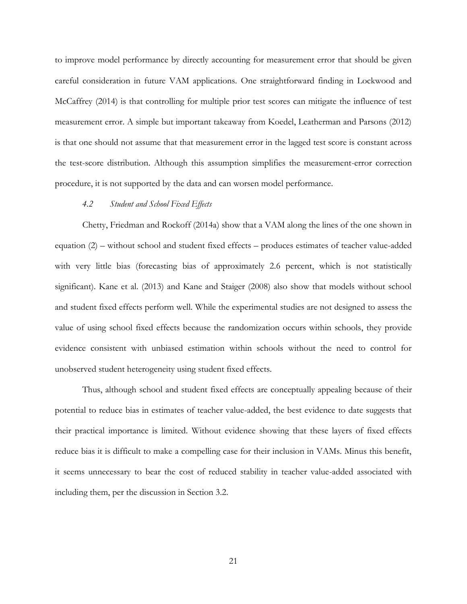to improve model performance by directly accounting for measurement error that should be given careful consideration in future VAM applications. One straightforward finding in Lockwood and McCaffrey (2014) is that controlling for multiple prior test scores can mitigate the influence of test measurement error. A simple but important takeaway from Koedel, Leatherman and Parsons (2012) is that one should not assume that that measurement error in the lagged test score is constant across the test-score distribution. Although this assumption simplifies the measurement-error correction procedure, it is not supported by the data and can worsen model performance.

#### *4.2 Student and School Fixed Effects*

Chetty, Friedman and Rockoff (2014a) show that a VAM along the lines of the one shown in equation (2) – without school and student fixed effects – produces estimates of teacher value-added with very little bias (forecasting bias of approximately 2.6 percent, which is not statistically significant). Kane et al. (2013) and Kane and Staiger (2008) also show that models without school and student fixed effects perform well. While the experimental studies are not designed to assess the value of using school fixed effects because the randomization occurs within schools, they provide evidence consistent with unbiased estimation within schools without the need to control for unobserved student heterogeneity using student fixed effects.

Thus, although school and student fixed effects are conceptually appealing because of their potential to reduce bias in estimates of teacher value-added, the best evidence to date suggests that their practical importance is limited. Without evidence showing that these layers of fixed effects reduce bias it is difficult to make a compelling case for their inclusion in VAMs. Minus this benefit, it seems unnecessary to bear the cost of reduced stability in teacher value-added associated with including them, per the discussion in Section 3.2.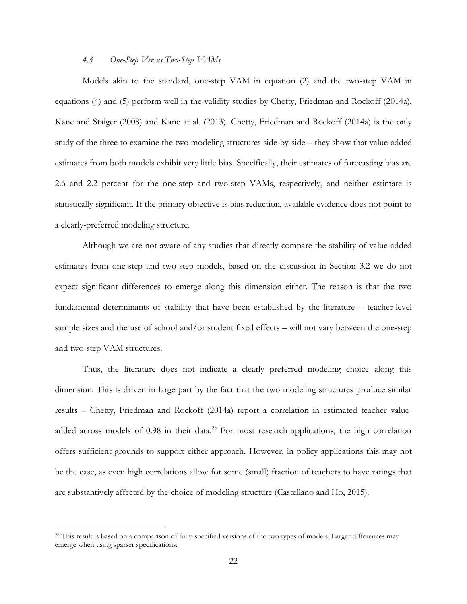### *4.3 One-Step Versus Two-Step VAMs*

Models akin to the standard, one-step VAM in equation (2) and the two-step VAM in equations (4) and (5) perform well in the validity studies by Chetty, Friedman and Rockoff (2014a), Kane and Staiger (2008) and Kane at al. (2013). Chetty, Friedman and Rockoff (2014a) is the only study of the three to examine the two modeling structures side-by-side – they show that value-added estimates from both models exhibit very little bias. Specifically, their estimates of forecasting bias are 2.6 and 2.2 percent for the one-step and two-step VAMs, respectively, and neither estimate is statistically significant. If the primary objective is bias reduction, available evidence does not point to a clearly-preferred modeling structure.

Although we are not aware of any studies that directly compare the stability of value-added estimates from one-step and two-step models, based on the discussion in Section 3.2 we do not expect significant differences to emerge along this dimension either. The reason is that the two fundamental determinants of stability that have been established by the literature – teacher-level sample sizes and the use of school and/or student fixed effects – will not vary between the one-step and two-step VAM structures.

Thus, the literature does not indicate a clearly preferred modeling choice along this dimension. This is driven in large part by the fact that the two modeling structures produce similar results – Chetty, Friedman and Rockoff (2014a) report a correlation in estimated teacher valueadded across models of 0.98 in their data.<sup>26</sup> For most research applications, the high correlation offers sufficient grounds to support either approach. However, in policy applications this may not be the case, as even high correlations allow for some (small) fraction of teachers to have ratings that are substantively affected by the choice of modeling structure (Castellano and Ho, 2015).

<sup>&</sup>lt;sup>26</sup> This result is based on a comparison of fully-specified versions of the two types of models. Larger differences may emerge when using sparser specifications.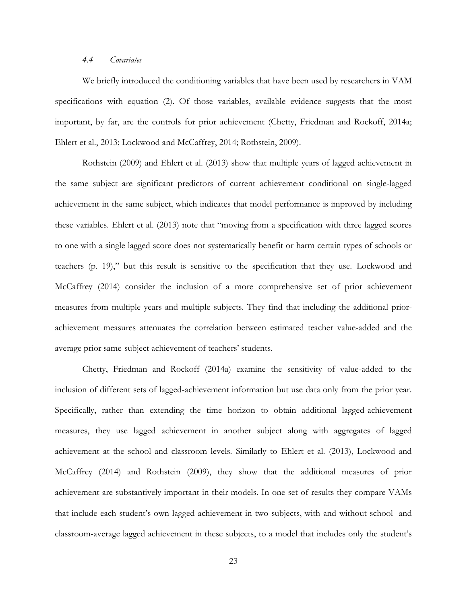### *4.4 Covariates*

We briefly introduced the conditioning variables that have been used by researchers in VAM specifications with equation (2). Of those variables, available evidence suggests that the most important, by far, are the controls for prior achievement (Chetty, Friedman and Rockoff, 2014a; Ehlert et al., 2013; Lockwood and McCaffrey, 2014; Rothstein, 2009).

Rothstein (2009) and Ehlert et al. (2013) show that multiple years of lagged achievement in the same subject are significant predictors of current achievement conditional on single-lagged achievement in the same subject, which indicates that model performance is improved by including these variables. Ehlert et al. (2013) note that "moving from a specification with three lagged scores to one with a single lagged score does not systematically benefit or harm certain types of schools or teachers (p. 19)," but this result is sensitive to the specification that they use. Lockwood and McCaffrey (2014) consider the inclusion of a more comprehensive set of prior achievement measures from multiple years and multiple subjects. They find that including the additional priorachievement measures attenuates the correlation between estimated teacher value-added and the average prior same-subject achievement of teachers' students.

Chetty, Friedman and Rockoff (2014a) examine the sensitivity of value-added to the inclusion of different sets of lagged-achievement information but use data only from the prior year. Specifically, rather than extending the time horizon to obtain additional lagged-achievement measures, they use lagged achievement in another subject along with aggregates of lagged achievement at the school and classroom levels. Similarly to Ehlert et al. (2013), Lockwood and McCaffrey (2014) and Rothstein (2009), they show that the additional measures of prior achievement are substantively important in their models. In one set of results they compare VAMs that include each student's own lagged achievement in two subjects, with and without school- and classroom-average lagged achievement in these subjects, to a model that includes only the student's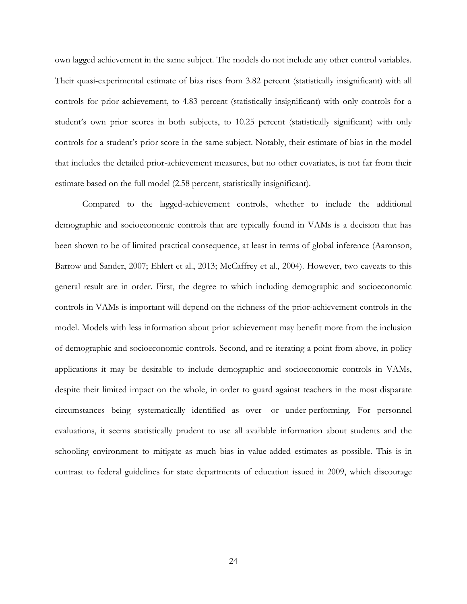own lagged achievement in the same subject. The models do not include any other control variables. Their quasi-experimental estimate of bias rises from 3.82 percent (statistically insignificant) with all controls for prior achievement, to 4.83 percent (statistically insignificant) with only controls for a student's own prior scores in both subjects, to 10.25 percent (statistically significant) with only controls for a student's prior score in the same subject. Notably, their estimate of bias in the model that includes the detailed prior-achievement measures, but no other covariates, is not far from their estimate based on the full model (2.58 percent, statistically insignificant).

Compared to the lagged-achievement controls, whether to include the additional demographic and socioeconomic controls that are typically found in VAMs is a decision that has been shown to be of limited practical consequence, at least in terms of global inference (Aaronson, Barrow and Sander, 2007; Ehlert et al., 2013; McCaffrey et al., 2004). However, two caveats to this general result are in order. First, the degree to which including demographic and socioeconomic controls in VAMs is important will depend on the richness of the prior-achievement controls in the model. Models with less information about prior achievement may benefit more from the inclusion of demographic and socioeconomic controls. Second, and re-iterating a point from above, in policy applications it may be desirable to include demographic and socioeconomic controls in VAMs, despite their limited impact on the whole, in order to guard against teachers in the most disparate circumstances being systematically identified as over- or under-performing. For personnel evaluations, it seems statistically prudent to use all available information about students and the schooling environment to mitigate as much bias in value-added estimates as possible. This is in contrast to federal guidelines for state departments of education issued in 2009, which discourage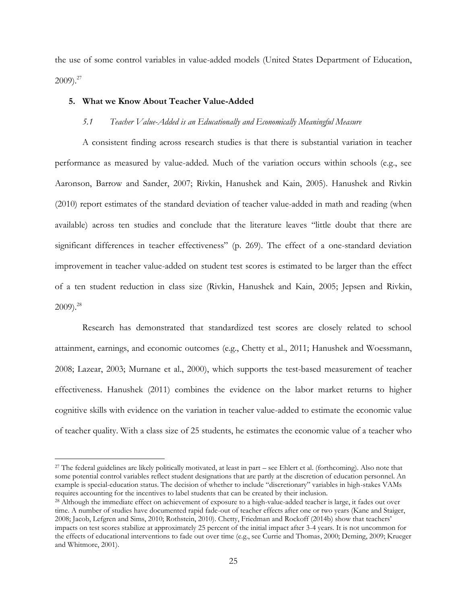the use of some control variables in value-added models (United States Department of Education,  $2009$ ).<sup>27</sup>

# **5. What we Know About Teacher Value-Added**

 $\overline{a}$ 

### *5.1 Teacher Value-Added is an Educationally and Economically Meaningful Measure*

A consistent finding across research studies is that there is substantial variation in teacher performance as measured by value-added. Much of the variation occurs within schools (e.g., see Aaronson, Barrow and Sander, 2007; Rivkin, Hanushek and Kain, 2005). Hanushek and Rivkin (2010) report estimates of the standard deviation of teacher value-added in math and reading (when available) across ten studies and conclude that the literature leaves "little doubt that there are significant differences in teacher effectiveness" (p. 269). The effect of a one-standard deviation improvement in teacher value-added on student test scores is estimated to be larger than the effect of a ten student reduction in class size (Rivkin, Hanushek and Kain, 2005; Jepsen and Rivkin, 2009). 28

Research has demonstrated that standardized test scores are closely related to school attainment, earnings, and economic outcomes (e.g., Chetty et al., 2011; Hanushek and Woessmann, 2008; Lazear, 2003; Murnane et al., 2000), which supports the test-based measurement of teacher effectiveness. Hanushek (2011) combines the evidence on the labor market returns to higher cognitive skills with evidence on the variation in teacher value-added to estimate the economic value of teacher quality. With a class size of 25 students, he estimates the economic value of a teacher who

<sup>27</sup> The federal guidelines are likely politically motivated, at least in part – see Ehlert et al. (forthcoming). Also note that some potential control variables reflect student designations that are partly at the discretion of education personnel. An example is special-education status. The decision of whether to include "discretionary" variables in high-stakes VAMs requires accounting for the incentives to label students that can be created by their inclusion.

<sup>&</sup>lt;sup>28</sup> Although the immediate effect on achievement of exposure to a high-value-added teacher is large, it fades out over time. A number of studies have documented rapid fade-out of teacher effects after one or two years (Kane and Staiger, 2008; Jacob, Lefgren and Sims, 2010; Rothstein, 2010). Chetty, Friedman and Rockoff (2014b) show that teachers' impacts on test scores stabilize at approximately 25 percent of the initial impact after 3-4 years. It is not uncommon for the effects of educational interventions to fade out over time (e.g., see Currie and Thomas, 2000; Deming, 2009; Krueger and Whitmore, 2001).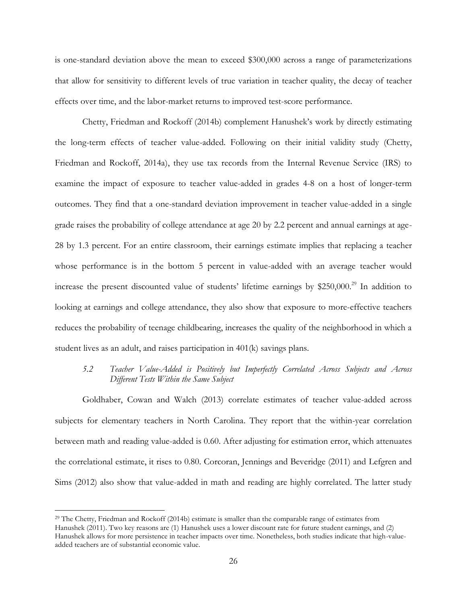is one-standard deviation above the mean to exceed \$300,000 across a range of parameterizations that allow for sensitivity to different levels of true variation in teacher quality, the decay of teacher effects over time, and the labor-market returns to improved test-score performance.

Chetty, Friedman and Rockoff (2014b) complement Hanushek's work by directly estimating the long-term effects of teacher value-added. Following on their initial validity study (Chetty, Friedman and Rockoff, 2014a), they use tax records from the Internal Revenue Service (IRS) to examine the impact of exposure to teacher value-added in grades 4-8 on a host of longer-term outcomes. They find that a one-standard deviation improvement in teacher value-added in a single grade raises the probability of college attendance at age 20 by 2.2 percent and annual earnings at age-28 by 1.3 percent. For an entire classroom, their earnings estimate implies that replacing a teacher whose performance is in the bottom 5 percent in value-added with an average teacher would increase the present discounted value of students' lifetime earnings by \$250,000.<sup>29</sup> In addition to looking at earnings and college attendance, they also show that exposure to more-effective teachers reduces the probability of teenage childbearing, increases the quality of the neighborhood in which a student lives as an adult, and raises participation in 401(k) savings plans.

*5.2 Teacher Value-Added is Positively but Imperfectly Correlated Across Subjects and Across Different Tests Within the Same Subject*

Goldhaber, Cowan and Walch (2013) correlate estimates of teacher value-added across subjects for elementary teachers in North Carolina. They report that the within-year correlation between math and reading value-added is 0.60. After adjusting for estimation error, which attenuates the correlational estimate, it rises to 0.80. Corcoran, Jennings and Beveridge (2011) and Lefgren and Sims (2012) also show that value-added in math and reading are highly correlated. The latter study

<sup>29</sup> The Chetty, Friedman and Rockoff (2014b) estimate is smaller than the comparable range of estimates from Hanushek (2011). Two key reasons are (1) Hanushek uses a lower discount rate for future student earnings, and (2) Hanushek allows for more persistence in teacher impacts over time. Nonetheless, both studies indicate that high-valueadded teachers are of substantial economic value.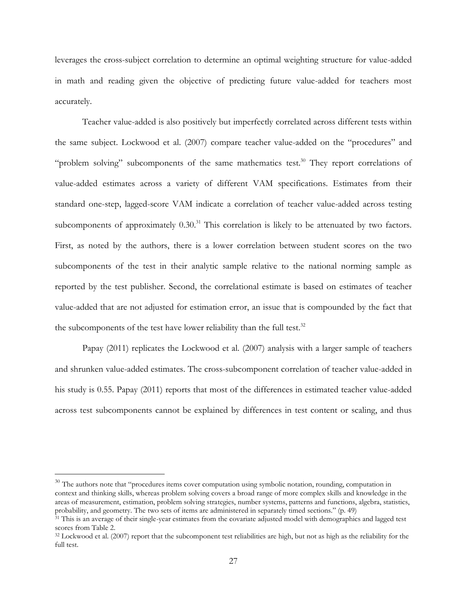leverages the cross-subject correlation to determine an optimal weighting structure for value-added in math and reading given the objective of predicting future value-added for teachers most accurately.

Teacher value-added is also positively but imperfectly correlated across different tests within the same subject. Lockwood et al. (2007) compare teacher value-added on the "procedures" and "problem solving" subcomponents of the same mathematics test.<sup>30</sup> They report correlations of value-added estimates across a variety of different VAM specifications. Estimates from their standard one-step, lagged-score VAM indicate a correlation of teacher value-added across testing subcomponents of approximately  $0.30^{31}$  This correlation is likely to be attenuated by two factors. First, as noted by the authors, there is a lower correlation between student scores on the two subcomponents of the test in their analytic sample relative to the national norming sample as reported by the test publisher. Second, the correlational estimate is based on estimates of teacher value-added that are not adjusted for estimation error, an issue that is compounded by the fact that the subcomponents of the test have lower reliability than the full test. $32$ 

Papay (2011) replicates the Lockwood et al. (2007) analysis with a larger sample of teachers and shrunken value-added estimates. The cross-subcomponent correlation of teacher value-added in his study is 0.55. Papay (2011) reports that most of the differences in estimated teacher value-added across test subcomponents cannot be explained by differences in test content or scaling, and thus

 $30$  The authors note that "procedures items cover computation using symbolic notation, rounding, computation in context and thinking skills, whereas problem solving covers a broad range of more complex skills and knowledge in the areas of measurement, estimation, problem solving strategies, number systems, patterns and functions, algebra, statistics, probability, and geometry. The two sets of items are administered in separately timed sections." (p. 49)

<sup>&</sup>lt;sup>31</sup> This is an average of their single-year estimates from the covariate adjusted model with demographics and lagged test scores from Table 2.

<sup>&</sup>lt;sup>32</sup> Lockwood et al. (2007) report that the subcomponent test reliabilities are high, but not as high as the reliability for the full test.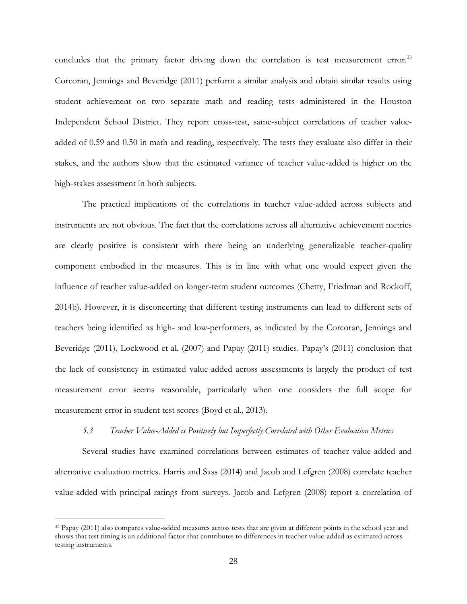concludes that the primary factor driving down the correlation is test measurement error.<sup>33</sup> Corcoran, Jennings and Beveridge (2011) perform a similar analysis and obtain similar results using student achievement on two separate math and reading tests administered in the Houston Independent School District. They report cross-test, same-subject correlations of teacher valueadded of 0.59 and 0.50 in math and reading, respectively. The tests they evaluate also differ in their stakes, and the authors show that the estimated variance of teacher value-added is higher on the high-stakes assessment in both subjects.

The practical implications of the correlations in teacher value-added across subjects and instruments are not obvious. The fact that the correlations across all alternative achievement metrics are clearly positive is consistent with there being an underlying generalizable teacher-quality component embodied in the measures. This is in line with what one would expect given the influence of teacher value-added on longer-term student outcomes (Chetty, Friedman and Rockoff, 2014b). However, it is disconcerting that different testing instruments can lead to different sets of teachers being identified as high- and low-performers, as indicated by the Corcoran, Jennings and Beveridge (2011), Lockwood et al. (2007) and Papay (2011) studies. Papay's (2011) conclusion that the lack of consistency in estimated value-added across assessments is largely the product of test measurement error seems reasonable, particularly when one considers the full scope for measurement error in student test scores (Boyd et al., 2013).

#### *5.3 Teacher Value-Added is Positively but Imperfectly Correlated with Other Evaluation Metrics*

Several studies have examined correlations between estimates of teacher value-added and alternative evaluation metrics. Harris and Sass (2014) and Jacob and Lefgren (2008) correlate teacher value-added with principal ratings from surveys. Jacob and Lefgren (2008) report a correlation of

<sup>&</sup>lt;sup>33</sup> Papay (2011) also compares value-added measures across tests that are given at different points in the school year and shows that test timing is an additional factor that contributes to differences in teacher value-added as estimated across testing instruments.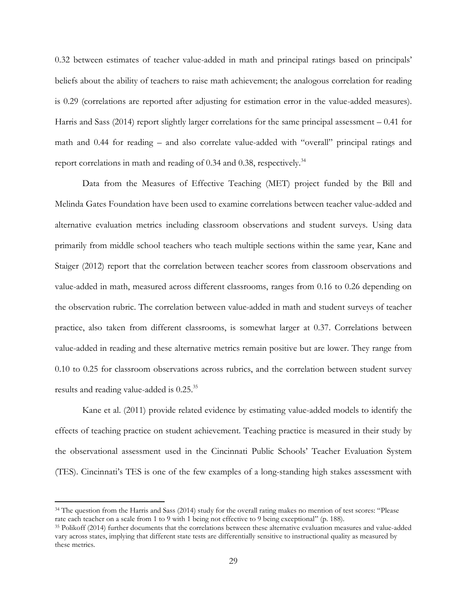0.32 between estimates of teacher value-added in math and principal ratings based on principals' beliefs about the ability of teachers to raise math achievement; the analogous correlation for reading is 0.29 (correlations are reported after adjusting for estimation error in the value-added measures). Harris and Sass (2014) report slightly larger correlations for the same principal assessment – 0.41 for math and 0.44 for reading – and also correlate value-added with "overall" principal ratings and report correlations in math and reading of 0.34 and 0.38, respectively.<sup>34</sup>

Data from the Measures of Effective Teaching (MET) project funded by the Bill and Melinda Gates Foundation have been used to examine correlations between teacher value-added and alternative evaluation metrics including classroom observations and student surveys. Using data primarily from middle school teachers who teach multiple sections within the same year, Kane and Staiger (2012) report that the correlation between teacher scores from classroom observations and value-added in math, measured across different classrooms, ranges from 0.16 to 0.26 depending on the observation rubric. The correlation between value-added in math and student surveys of teacher practice, also taken from different classrooms, is somewhat larger at 0.37. Correlations between value-added in reading and these alternative metrics remain positive but are lower. They range from 0.10 to 0.25 for classroom observations across rubrics, and the correlation between student survey results and reading value-added is 0.25.<sup>35</sup>

Kane et al. (2011) provide related evidence by estimating value-added models to identify the effects of teaching practice on student achievement. Teaching practice is measured in their study by the observational assessment used in the Cincinnati Public Schools' Teacher Evaluation System (TES). Cincinnati's TES is one of the few examples of a long-standing high stakes assessment with

<sup>34</sup> The question from the Harris and Sass (2014) study for the overall rating makes no mention of test scores: "Please rate each teacher on a scale from 1 to 9 with 1 being not effective to 9 being exceptional" (p. 188).

<sup>35</sup> Polikoff (2014) further documents that the correlations between these alternative evaluation measures and value-added vary across states, implying that different state tests are differentially sensitive to instructional quality as measured by these metrics.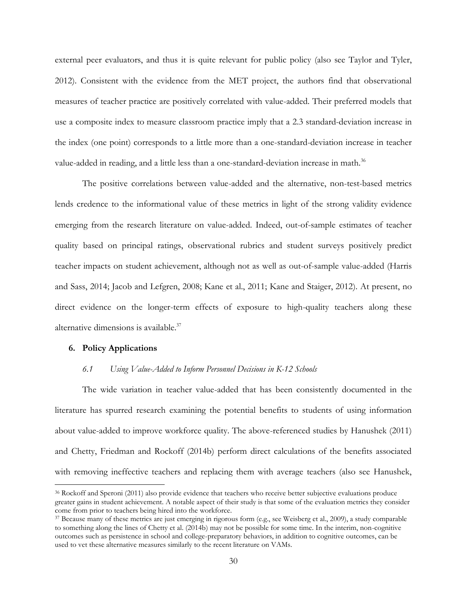external peer evaluators, and thus it is quite relevant for public policy (also see Taylor and Tyler, 2012). Consistent with the evidence from the MET project, the authors find that observational measures of teacher practice are positively correlated with value-added. Their preferred models that use a composite index to measure classroom practice imply that a 2.3 standard-deviation increase in the index (one point) corresponds to a little more than a one-standard-deviation increase in teacher value-added in reading, and a little less than a one-standard-deviation increase in math.<sup>36</sup>

The positive correlations between value-added and the alternative, non-test-based metrics lends credence to the informational value of these metrics in light of the strong validity evidence emerging from the research literature on value-added. Indeed, out-of-sample estimates of teacher quality based on principal ratings, observational rubrics and student surveys positively predict teacher impacts on student achievement, although not as well as out-of-sample value-added (Harris and Sass, 2014; Jacob and Lefgren, 2008; Kane et al., 2011; Kane and Staiger, 2012). At present, no direct evidence on the longer-term effects of exposure to high-quality teachers along these alternative dimensions is available.<sup>37</sup>

### **6. Policy Applications**

 $\overline{a}$ 

### *6.1 Using Value-Added to Inform Personnel Decisions in K-12 Schools*

The wide variation in teacher value-added that has been consistently documented in the literature has spurred research examining the potential benefits to students of using information about value-added to improve workforce quality. The above-referenced studies by Hanushek (2011) and Chetty, Friedman and Rockoff (2014b) perform direct calculations of the benefits associated with removing ineffective teachers and replacing them with average teachers (also see Hanushek,

<sup>36</sup> Rockoff and Speroni (2011) also provide evidence that teachers who receive better subjective evaluations produce greater gains in student achievement. A notable aspect of their study is that some of the evaluation metrics they consider come from prior to teachers being hired into the workforce.

<sup>37</sup> Because many of these metrics are just emerging in rigorous form (e.g., see Weisberg et al., 2009), a study comparable to something along the lines of Chetty et al. (2014b) may not be possible for some time. In the interim, non-cognitive outcomes such as persistence in school and college-preparatory behaviors, in addition to cognitive outcomes, can be used to vet these alternative measures similarly to the recent literature on VAMs.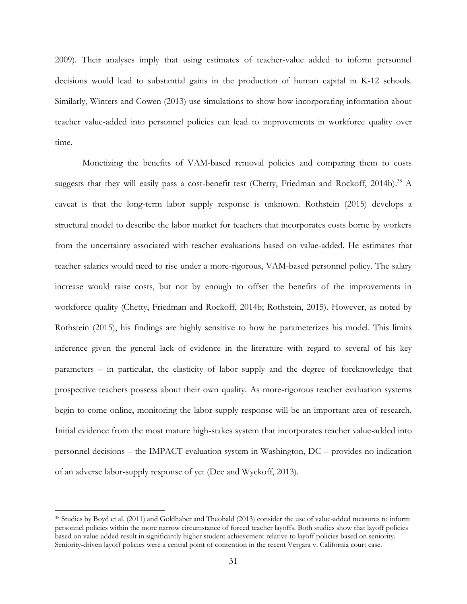2009). Their analyses imply that using estimates of teacher-value added to inform personnel decisions would lead to substantial gains in the production of human capital in K-12 schools. Similarly, Winters and Cowen (2013) use simulations to show how incorporating information about teacher value-added into personnel policies can lead to improvements in workforce quality over time.

Monetizing the benefits of VAM-based removal policies and comparing them to costs suggests that they will easily pass a cost-benefit test (Chetty, Friedman and Rockoff, 2014b).<sup>38</sup> A caveat is that the long-term labor supply response is unknown. Rothstein (2015) develops a structural model to describe the labor market for teachers that incorporates costs borne by workers from the uncertainty associated with teacher evaluations based on value-added. He estimates that teacher salaries would need to rise under a more-rigorous, VAM-based personnel policy. The salary increase would raise costs, but not by enough to offset the benefits of the improvements in workforce quality (Chetty, Friedman and Rockoff, 2014b; Rothstein, 2015). However, as noted by Rothstein (2015), his findings are highly sensitive to how he parameterizes his model. This limits inference given the general lack of evidence in the literature with regard to several of his key parameters – in particular, the elasticity of labor supply and the degree of foreknowledge that prospective teachers possess about their own quality. As more-rigorous teacher evaluation systems begin to come online, monitoring the labor-supply response will be an important area of research. Initial evidence from the most mature high-stakes system that incorporates teacher value-added into personnel decisions – the IMPACT evaluation system in Washington, DC – provides no indication of an adverse labor-supply response of yet (Dee and Wyckoff, 2013).

<sup>38</sup> Studies by Boyd et al. (2011) and Goldhaber and Theobald (2013) consider the use of value-added measures to inform personnel policies within the more narrow circumstance of forced teacher layoffs. Both studies show that layoff policies based on value-added result in significantly higher student achievement relative to layoff policies based on seniority. Seniority-driven layoff policies were a central point of contention in the recent Vergara v. California court case.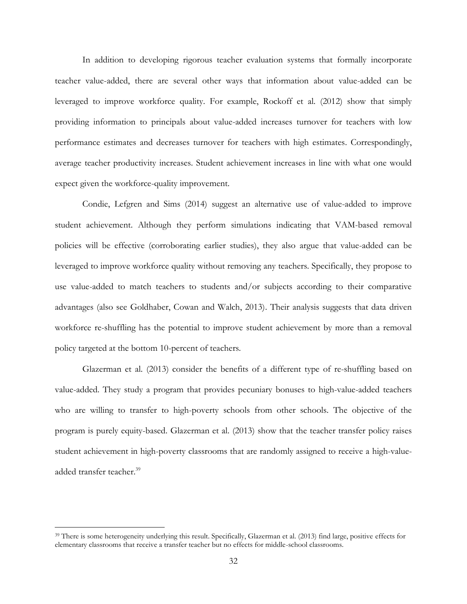In addition to developing rigorous teacher evaluation systems that formally incorporate teacher value-added, there are several other ways that information about value-added can be leveraged to improve workforce quality. For example, Rockoff et al. (2012) show that simply providing information to principals about value-added increases turnover for teachers with low performance estimates and decreases turnover for teachers with high estimates. Correspondingly, average teacher productivity increases. Student achievement increases in line with what one would expect given the workforce-quality improvement.

Condie, Lefgren and Sims (2014) suggest an alternative use of value-added to improve student achievement. Although they perform simulations indicating that VAM-based removal policies will be effective (corroborating earlier studies), they also argue that value-added can be leveraged to improve workforce quality without removing any teachers. Specifically, they propose to use value-added to match teachers to students and/or subjects according to their comparative advantages (also see Goldhaber, Cowan and Walch, 2013). Their analysis suggests that data driven workforce re-shuffling has the potential to improve student achievement by more than a removal policy targeted at the bottom 10-percent of teachers.

Glazerman et al. (2013) consider the benefits of a different type of re-shuffling based on value-added. They study a program that provides pecuniary bonuses to high-value-added teachers who are willing to transfer to high-poverty schools from other schools. The objective of the program is purely equity-based. Glazerman et al. (2013) show that the teacher transfer policy raises student achievement in high-poverty classrooms that are randomly assigned to receive a high-valueadded transfer teacher. 39

<sup>&</sup>lt;sup>39</sup> There is some heterogeneity underlying this result. Specifically, Glazerman et al. (2013) find large, positive effects for elementary classrooms that receive a transfer teacher but no effects for middle-school classrooms.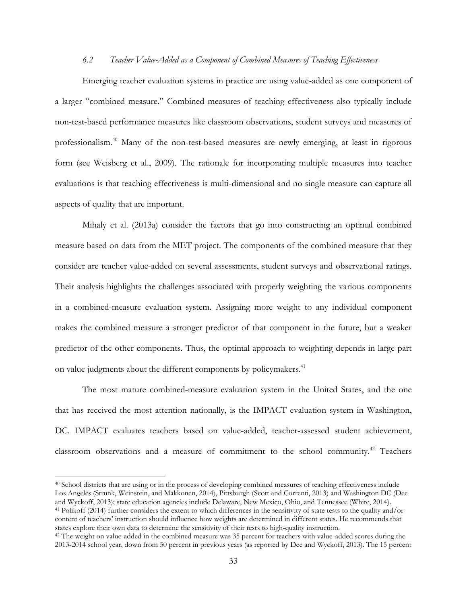### *6.2 Teacher Value-Added as a Component of Combined Measures of Teaching Effectiveness*

Emerging teacher evaluation systems in practice are using value-added as one component of a larger "combined measure." Combined measures of teaching effectiveness also typically include non-test-based performance measures like classroom observations, student surveys and measures of professionalism.<sup>40</sup> Many of the non-test-based measures are newly emerging, at least in rigorous form (see Weisberg et al., 2009). The rationale for incorporating multiple measures into teacher evaluations is that teaching effectiveness is multi-dimensional and no single measure can capture all aspects of quality that are important.

Mihaly et al. (2013a) consider the factors that go into constructing an optimal combined measure based on data from the MET project. The components of the combined measure that they consider are teacher value-added on several assessments, student surveys and observational ratings. Their analysis highlights the challenges associated with properly weighting the various components in a combined-measure evaluation system. Assigning more weight to any individual component makes the combined measure a stronger predictor of that component in the future, but a weaker predictor of the other components. Thus, the optimal approach to weighting depends in large part on value judgments about the different components by policymakers.<sup>41</sup>

The most mature combined-measure evaluation system in the United States, and the one that has received the most attention nationally, is the IMPACT evaluation system in Washington, DC. IMPACT evaluates teachers based on value-added, teacher-assessed student achievement, classroom observations and a measure of commitment to the school community.<sup>42</sup> Teachers

<sup>40</sup> School districts that are using or in the process of developing combined measures of teaching effectiveness include Los Angeles (Strunk, Weinstein, and Makkonen, 2014), Pittsburgh (Scott and Correnti, 2013) and Washington DC (Dee and Wyckoff, 2013); state education agencies include Delaware, New Mexico, Ohio, and Tennessee (White, 2014). <sup>41</sup> Polikoff (2014) further considers the extent to which differences in the sensitivity of state tests to the quality and/or content of teachers' instruction should influence how weights are determined in different states. He recommends that states explore their own data to determine the sensitivity of their tests to high-quality instruction.

<sup>&</sup>lt;sup>42</sup> The weight on value-added in the combined measure was 35 percent for teachers with value-added scores during the 2013-2014 school year, down from 50 percent in previous years (as reported by Dee and Wyckoff, 2013). The 15 percent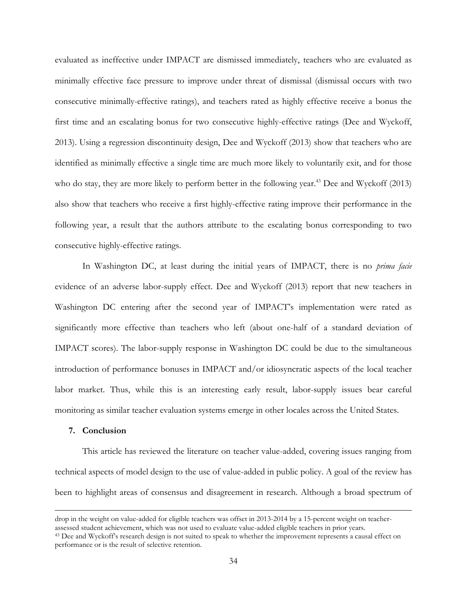evaluated as ineffective under IMPACT are dismissed immediately, teachers who are evaluated as minimally effective face pressure to improve under threat of dismissal (dismissal occurs with two consecutive minimally-effective ratings), and teachers rated as highly effective receive a bonus the first time and an escalating bonus for two consecutive highly-effective ratings (Dee and Wyckoff, 2013). Using a regression discontinuity design, Dee and Wyckoff (2013) show that teachers who are identified as minimally effective a single time are much more likely to voluntarily exit, and for those who do stay, they are more likely to perform better in the following year.<sup>43</sup> Dee and Wyckoff  $(2013)$ also show that teachers who receive a first highly-effective rating improve their performance in the following year, a result that the authors attribute to the escalating bonus corresponding to two consecutive highly-effective ratings.

In Washington DC, at least during the initial years of IMPACT, there is no *prima facie*  evidence of an adverse labor-supply effect. Dee and Wyckoff (2013) report that new teachers in Washington DC entering after the second year of IMPACT's implementation were rated as significantly more effective than teachers who left (about one-half of a standard deviation of IMPACT scores). The labor-supply response in Washington DC could be due to the simultaneous introduction of performance bonuses in IMPACT and/or idiosyncratic aspects of the local teacher labor market. Thus, while this is an interesting early result, labor-supply issues bear careful monitoring as similar teacher evaluation systems emerge in other locales across the United States.

### **7. Conclusion**

 $\overline{a}$ 

This article has reviewed the literature on teacher value-added, covering issues ranging from technical aspects of model design to the use of value-added in public policy. A goal of the review has been to highlight areas of consensus and disagreement in research. Although a broad spectrum of

drop in the weight on value-added for eligible teachers was offset in 2013-2014 by a 15-percent weight on teacherassessed student achievement, which was not used to evaluate value-added eligible teachers in prior years.

<sup>&</sup>lt;sup>43</sup> Dee and Wyckoff's research design is not suited to speak to whether the improvement represents a causal effect on performance or is the result of selective retention.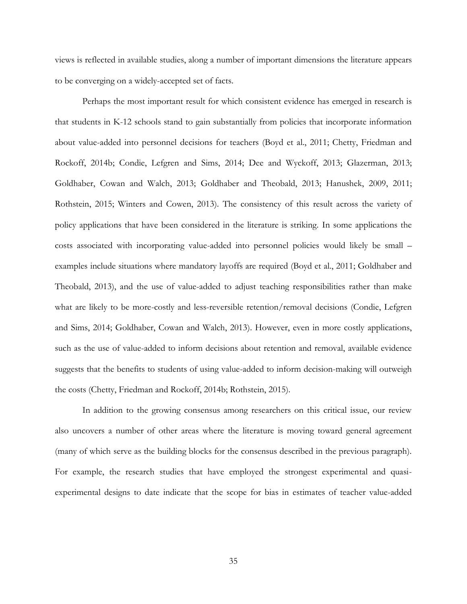views is reflected in available studies, along a number of important dimensions the literature appears to be converging on a widely-accepted set of facts.

Perhaps the most important result for which consistent evidence has emerged in research is that students in K-12 schools stand to gain substantially from policies that incorporate information about value-added into personnel decisions for teachers (Boyd et al., 2011; Chetty, Friedman and Rockoff, 2014b; Condie, Lefgren and Sims, 2014; Dee and Wyckoff, 2013; Glazerman, 2013; Goldhaber, Cowan and Walch, 2013; Goldhaber and Theobald, 2013; Hanushek, 2009, 2011; Rothstein, 2015; Winters and Cowen, 2013). The consistency of this result across the variety of policy applications that have been considered in the literature is striking. In some applications the costs associated with incorporating value-added into personnel policies would likely be small – examples include situations where mandatory layoffs are required (Boyd et al., 2011; Goldhaber and Theobald, 2013), and the use of value-added to adjust teaching responsibilities rather than make what are likely to be more-costly and less-reversible retention/removal decisions (Condie, Lefgren and Sims, 2014; Goldhaber, Cowan and Walch, 2013). However, even in more costly applications, such as the use of value-added to inform decisions about retention and removal, available evidence suggests that the benefits to students of using value-added to inform decision-making will outweigh the costs (Chetty, Friedman and Rockoff, 2014b; Rothstein, 2015).

In addition to the growing consensus among researchers on this critical issue, our review also uncovers a number of other areas where the literature is moving toward general agreement (many of which serve as the building blocks for the consensus described in the previous paragraph). For example, the research studies that have employed the strongest experimental and quasiexperimental designs to date indicate that the scope for bias in estimates of teacher value-added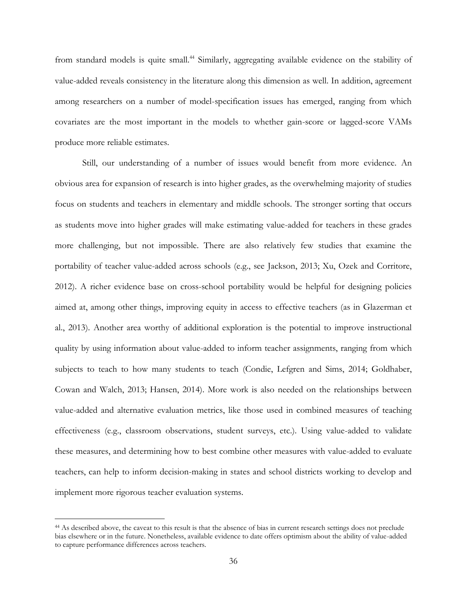from standard models is quite small.<sup>44</sup> Similarly, aggregating available evidence on the stability of value-added reveals consistency in the literature along this dimension as well. In addition, agreement among researchers on a number of model-specification issues has emerged, ranging from which covariates are the most important in the models to whether gain-score or lagged-score VAMs produce more reliable estimates.

Still, our understanding of a number of issues would benefit from more evidence. An obvious area for expansion of research is into higher grades, as the overwhelming majority of studies focus on students and teachers in elementary and middle schools. The stronger sorting that occurs as students move into higher grades will make estimating value-added for teachers in these grades more challenging, but not impossible. There are also relatively few studies that examine the portability of teacher value-added across schools (e.g., see Jackson, 2013; Xu, Ozek and Corritore, 2012). A richer evidence base on cross-school portability would be helpful for designing policies aimed at, among other things, improving equity in access to effective teachers (as in Glazerman et al., 2013). Another area worthy of additional exploration is the potential to improve instructional quality by using information about value-added to inform teacher assignments, ranging from which subjects to teach to how many students to teach (Condie, Lefgren and Sims, 2014; Goldhaber, Cowan and Walch, 2013; Hansen, 2014). More work is also needed on the relationships between value-added and alternative evaluation metrics, like those used in combined measures of teaching effectiveness (e.g., classroom observations, student surveys, etc.). Using value-added to validate these measures, and determining how to best combine other measures with value-added to evaluate teachers, can help to inform decision-making in states and school districts working to develop and implement more rigorous teacher evaluation systems.

<sup>&</sup>lt;sup>44</sup> As described above, the caveat to this result is that the absence of bias in current research settings does not preclude bias elsewhere or in the future. Nonetheless, available evidence to date offers optimism about the ability of value-added to capture performance differences across teachers.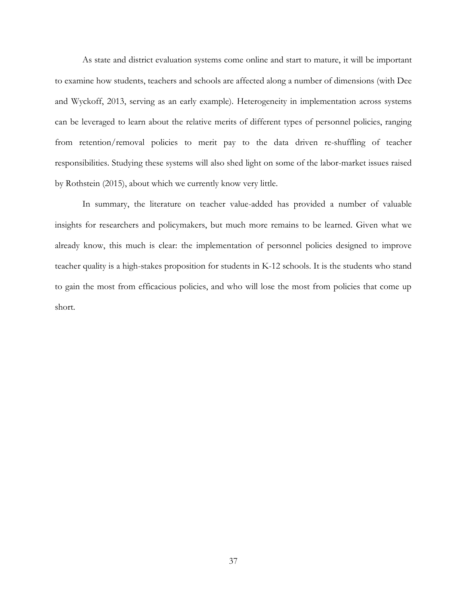As state and district evaluation systems come online and start to mature, it will be important to examine how students, teachers and schools are affected along a number of dimensions (with Dee and Wyckoff, 2013, serving as an early example). Heterogeneity in implementation across systems can be leveraged to learn about the relative merits of different types of personnel policies, ranging from retention/removal policies to merit pay to the data driven re-shuffling of teacher responsibilities. Studying these systems will also shed light on some of the labor-market issues raised by Rothstein (2015), about which we currently know very little.

In summary, the literature on teacher value-added has provided a number of valuable insights for researchers and policymakers, but much more remains to be learned. Given what we already know, this much is clear: the implementation of personnel policies designed to improve teacher quality is a high-stakes proposition for students in K-12 schools. It is the students who stand to gain the most from efficacious policies, and who will lose the most from policies that come up short.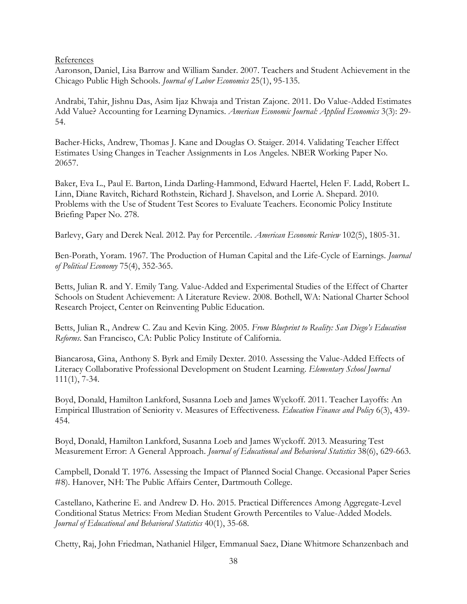References

Aaronson, Daniel, Lisa Barrow and William Sander. 2007. Teachers and Student Achievement in the Chicago Public High Schools. *Journal of Labor Economics* 25(1), 95-135.

Andrabi, Tahir, Jishnu Das, Asim Ijaz Khwaja and Tristan Zajonc. 2011. Do Value-Added Estimates Add Value? Accounting for Learning Dynamics. *American Economic Journal: Applied Economics* 3(3): 29- 54.

Bacher-Hicks, Andrew, Thomas J. Kane and Douglas O. Staiger. 2014. Validating Teacher Effect Estimates Using Changes in Teacher Assignments in Los Angeles. NBER Working Paper No. 20657.

Baker, Eva L., Paul E. Barton, Linda Darling-Hammond, Edward Haertel, Helen F. Ladd, Robert L. Linn, Diane Ravitch, Richard Rothstein, Richard J. Shavelson, and Lorrie A. Shepard. 2010. Problems with the Use of Student Test Scores to Evaluate Teachers. Economic Policy Institute Briefing Paper No. 278.

Barlevy, Gary and Derek Neal. 2012. Pay for Percentile. *American Economic Review* 102(5), 1805-31.

Ben-Porath, Yoram. 1967. The Production of Human Capital and the Life-Cycle of Earnings. *Journal of Political Economy* 75(4), 352-365.

Betts, Julian R. and Y. Emily Tang. Value-Added and Experimental Studies of the Effect of Charter Schools on Student Achievement: A Literature Review. 2008. Bothell, WA: National Charter School Research Project, Center on Reinventing Public Education.

Betts, Julian R., Andrew C. Zau and Kevin King. 2005. *From Blueprint to Reality: San Diego's Education Reforms*. San Francisco, CA: Public Policy Institute of California.

Biancarosa, Gina, Anthony S. Byrk and Emily Dexter. 2010. Assessing the Value-Added Effects of Literacy Collaborative Professional Development on Student Learning. *Elementary School Journal* 111(1), 7-34.

Boyd, Donald, Hamilton Lankford, Susanna Loeb and James Wyckoff. 2011. Teacher Layoffs: An Empirical Illustration of Seniority v. Measures of Effectiveness*. Education Finance and Policy* 6(3), 439- 454.

Boyd, Donald, Hamilton Lankford, Susanna Loeb and James Wyckoff. 2013. Measuring Test Measurement Error: A General Approach. *Journal of Educational and Behavioral Statistics* 38(6), 629-663.

Campbell, Donald T. 1976. Assessing the Impact of Planned Social Change. Occasional Paper Series #8). Hanover, NH: The Public Affairs Center, Dartmouth College.

Castellano, Katherine E. and Andrew D. Ho. 2015. Practical Differences Among Aggregate-Level Conditional Status Metrics: From Median Student Growth Percentiles to Value-Added Models. *Journal of Educational and Behavioral Statistics* 40(1), 35-68.

Chetty, Raj, John Friedman, Nathaniel Hilger, Emmanual Saez, Diane Whitmore Schanzenbach and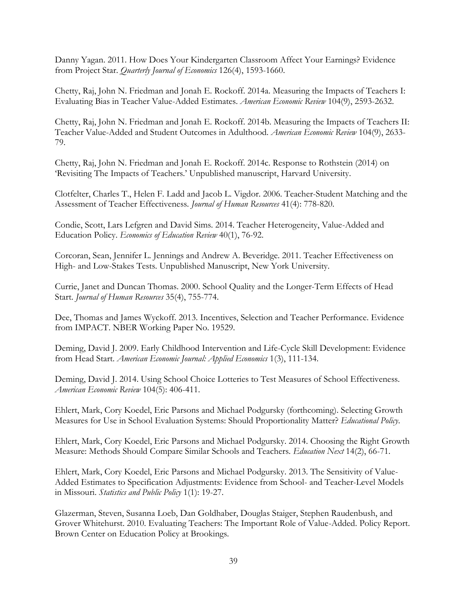Danny Yagan. 2011. How Does Your Kindergarten Classroom Affect Your Earnings? Evidence from Project Star. *Quarterly Journal of Economics* 126(4), 1593-1660.

Chetty, Raj, John N. Friedman and Jonah E. Rockoff. 2014a. Measuring the Impacts of Teachers I: Evaluating Bias in Teacher Value-Added Estimates. *American Economic Review* 104(9), 2593-2632.

Chetty, Raj, John N. Friedman and Jonah E. Rockoff. 2014b. Measuring the Impacts of Teachers II: Teacher Value-Added and Student Outcomes in Adulthood. *American Economic Review* 104(9), 2633- 79.

Chetty, Raj, John N. Friedman and Jonah E. Rockoff. 2014c. Response to Rothstein (2014) on 'Revisiting The Impacts of Teachers.' Unpublished manuscript, Harvard University.

Clotfelter, Charles T., Helen F. Ladd and Jacob L. Vigdor. 2006. Teacher-Student Matching and the Assessment of Teacher Effectiveness. *Journal of Human Resources* 41(4): 778-820.

Condie, Scott, Lars Lefgren and David Sims. 2014. Teacher Heterogeneity, Value-Added and Education Policy. *Economics of Education Review* 40(1), 76-92.

Corcoran, Sean, Jennifer L. Jennings and Andrew A. Beveridge. 2011. Teacher Effectiveness on High- and Low-Stakes Tests. Unpublished Manuscript, New York University.

Currie, Janet and Duncan Thomas. 2000. School Quality and the Longer-Term Effects of Head Start. *Journal of Human Resources* 35(4), 755-774.

Dee, Thomas and James Wyckoff. 2013. Incentives, Selection and Teacher Performance. Evidence from IMPACT. NBER Working Paper No. 19529.

Deming, David J. 2009. Early Childhood Intervention and Life-Cycle Skill Development: Evidence from Head Start. *American Economic Journal: Applied Economics* 1(3), 111-134.

Deming, David J. 2014. Using School Choice Lotteries to Test Measures of School Effectiveness. *American Economic Review* 104(5): 406-411.

Ehlert, Mark, Cory Koedel, Eric Parsons and Michael Podgursky (forthcoming). Selecting Growth Measures for Use in School Evaluation Systems: Should Proportionality Matter? *Educational Policy*.

Ehlert, Mark, Cory Koedel, Eric Parsons and Michael Podgursky. 2014. Choosing the Right Growth Measure: Methods Should Compare Similar Schools and Teachers. *Education Next* 14(2), 66-71.

Ehlert, Mark, Cory Koedel, Eric Parsons and Michael Podgursky. 2013. The Sensitivity of Value-Added Estimates to Specification Adjustments: Evidence from School- and Teacher-Level Models in Missouri. *Statistics and Public Policy* 1(1): 19-27.

Glazerman, Steven, Susanna Loeb, Dan Goldhaber, Douglas Staiger, Stephen Raudenbush, and Grover Whitehurst. 2010. Evaluating Teachers: The Important Role of Value-Added. Policy Report. Brown Center on Education Policy at Brookings.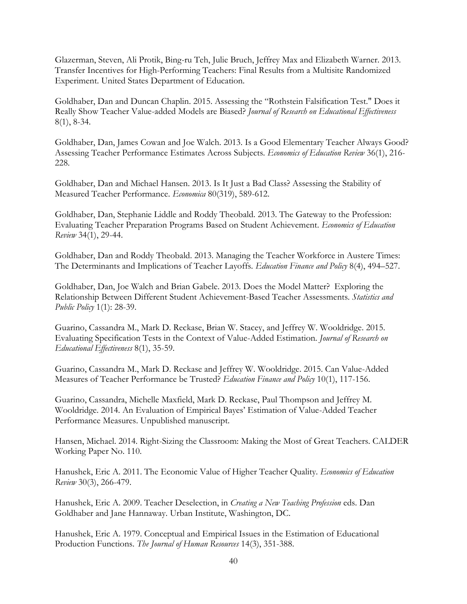Glazerman, Steven, Ali Protik, Bing-ru Teh, Julie Bruch, Jeffrey Max and Elizabeth Warner. 2013. Transfer Incentives for High-Performing Teachers: Final Results from a Multisite Randomized Experiment. United States Department of Education.

Goldhaber, Dan and Duncan Chaplin. 2015. Assessing the "Rothstein Falsification Test." Does it Really Show Teacher Value-added Models are Biased? *Journal of Research on Educational Effectiveness* 8(1), 8-34.

Goldhaber, Dan, James Cowan and Joe Walch. 2013. Is a Good Elementary Teacher Always Good? Assessing Teacher Performance Estimates Across Subjects. *Economics of Education Review* 36(1), 216- 228.

Goldhaber, Dan and Michael Hansen. 2013. Is It Just a Bad Class? Assessing the Stability of Measured Teacher Performance. *Economica* 80(319), 589-612.

Goldhaber, Dan, Stephanie Liddle and Roddy Theobald. 2013. The Gateway to the Profession: Evaluating Teacher Preparation Programs Based on Student Achievement. *Economics of Education Review* 34(1), 29-44.

Goldhaber, Dan and Roddy Theobald. 2013. Managing the Teacher Workforce in Austere Times: The Determinants and Implications of Teacher Layoffs. *Education Finance and Policy* 8(4), 494–527.

Goldhaber, Dan, Joe Walch and Brian Gabele. 2013. Does the Model Matter? Exploring the Relationship Between Different Student Achievement-Based Teacher Assessments. *Statistics and Public Policy* 1(1): 28-39.

Guarino, Cassandra M., Mark D. Reckase, Brian W. Stacey, and Jeffrey W. Wooldridge. 2015. Evaluating Specification Tests in the Context of Value-Added Estimation. *Journal of Research on Educational Effectiveness* 8(1), 35-59.

Guarino, Cassandra M., Mark D. Reckase and Jeffrey W. Wooldridge. 2015. Can Value-Added Measures of Teacher Performance be Trusted? *Education Finance and Policy* 10(1), 117-156.

Guarino, Cassandra, Michelle Maxfield, Mark D. Reckase, Paul Thompson and Jeffrey M. Wooldridge. 2014. An Evaluation of Empirical Bayes' Estimation of Value-Added Teacher Performance Measures. Unpublished manuscript.

Hansen, Michael. 2014. Right-Sizing the Classroom: Making the Most of Great Teachers. CALDER Working Paper No. 110.

Hanushek, Eric A. 2011. The Economic Value of Higher Teacher Quality. *Economics of Education Review* 30(3), 266-479.

Hanushek, Eric A. 2009. Teacher Deselection, in *Creating a New Teaching Profession* eds. Dan Goldhaber and Jane Hannaway. Urban Institute, Washington, DC.

Hanushek, Eric A. 1979. Conceptual and Empirical Issues in the Estimation of Educational Production Functions. *The Journal of Human Resources* 14(3), 351-388.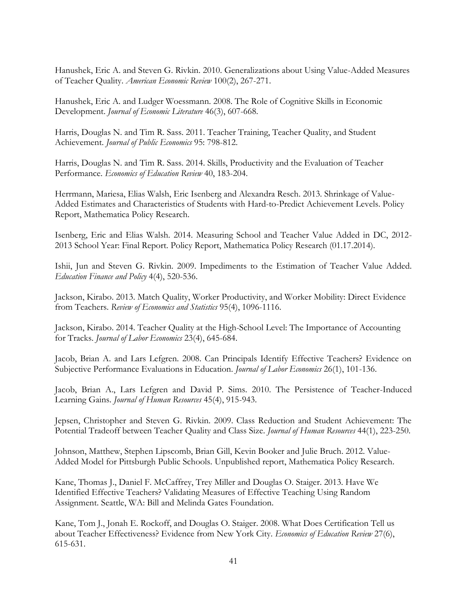Hanushek, Eric A. and Steven G. Rivkin. 2010. Generalizations about Using Value-Added Measures of Teacher Quality. *American Economic Review* 100(2), 267-271.

Hanushek, Eric A. and Ludger Woessmann. 2008. The Role of Cognitive Skills in Economic Development. *Journal of Economic Literature* 46(3), 607-668.

Harris, Douglas N. and Tim R. Sass. 2011. Teacher Training, Teacher Quality, and Student Achievement. *Journal of Public Economics* 95: 798-812.

Harris, Douglas N. and Tim R. Sass. 2014. Skills, Productivity and the Evaluation of Teacher Performance. *Economics of Education Review* 40, 183-204.

Herrmann, Mariesa, Elias Walsh, Eric Isenberg and Alexandra Resch. 2013. Shrinkage of Value-Added Estimates and Characteristics of Students with Hard-to-Predict Achievement Levels. Policy Report, Mathematica Policy Research.

Isenberg, Eric and Elias Walsh. 2014. Measuring School and Teacher Value Added in DC, 2012- 2013 School Year: Final Report. Policy Report, Mathematica Policy Research (01.17.2014).

Ishii, Jun and Steven G. Rivkin. 2009. Impediments to the Estimation of Teacher Value Added. *Education Finance and Policy* 4(4), 520-536.

Jackson, Kirabo. 2013. Match Quality, Worker Productivity, and Worker Mobility: Direct Evidence from Teachers. *Review of Economics and Statistics* 95(4), 1096-1116.

Jackson, Kirabo. 2014. Teacher Quality at the High-School Level: The Importance of Accounting for Tracks. *Journal of Labor Economics* 23(4), 645-684.

Jacob, Brian A. and Lars Lefgren. 2008. Can Principals Identify Effective Teachers? Evidence on Subjective Performance Evaluations in Education. *Journal of Labor Economics* 26(1), 101-136.

Jacob, Brian A., Lars Lefgren and David P. Sims. 2010. The Persistence of Teacher-Induced Learning Gains. *Journal of Human Resources* 45(4), 915-943.

Jepsen, Christopher and Steven G. Rivkin. 2009. Class Reduction and Student Achievement: The Potential Tradeoff between Teacher Quality and Class Size. *Journal of Human Resources* 44(1), 223-250.

Johnson, Matthew, Stephen Lipscomb, Brian Gill, Kevin Booker and Julie Bruch. 2012. Value-Added Model for Pittsburgh Public Schools. Unpublished report, Mathematica Policy Research.

Kane, Thomas J., Daniel F. McCaffrey, Trey Miller and Douglas O. Staiger. 2013. Have We Identified Effective Teachers? Validating Measures of Effective Teaching Using Random Assignment. Seattle, WA: Bill and Melinda Gates Foundation.

Kane, Tom J., Jonah E. Rockoff, and Douglas O. Staiger. 2008. What Does Certification Tell us about Teacher Effectiveness? Evidence from New York City. *Economics of Education Review* 27(6), 615-631.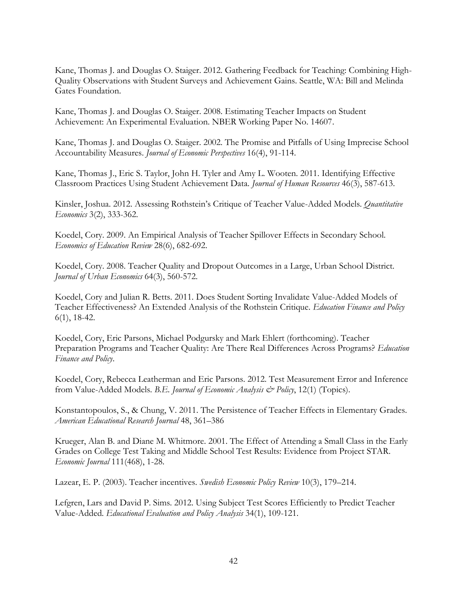Kane, Thomas J. and Douglas O. Staiger. 2012. Gathering Feedback for Teaching: Combining High-Quality Observations with Student Surveys and Achievement Gains. Seattle, WA: Bill and Melinda Gates Foundation.

Kane, Thomas J. and Douglas O. Staiger. 2008. Estimating Teacher Impacts on Student Achievement: An Experimental Evaluation. NBER Working Paper No. 14607.

Kane, Thomas J. and Douglas O. Staiger. 2002. The Promise and Pitfalls of Using Imprecise School Accountability Measures. *Journal of Economic Perspectives* 16(4), 91-114.

Kane, Thomas J., Eric S. Taylor, John H. Tyler and Amy L. Wooten. 2011. Identifying Effective Classroom Practices Using Student Achievement Data. *Journal of Human Resources* 46(3), 587-613.

Kinsler, Joshua. 2012. Assessing Rothstein's Critique of Teacher Value-Added Models. *Quantitative Economics* 3(2), 333-362.

Koedel, Cory. 2009. An Empirical Analysis of Teacher Spillover Effects in Secondary School. *Economics of Education Review* 28(6), 682-692.

Koedel, Cory. 2008. Teacher Quality and Dropout Outcomes in a Large, Urban School District. *Journal of Urban Economics* 64(3), 560-572.

Koedel, Cory and Julian R. Betts. 2011. Does Student Sorting Invalidate Value-Added Models of Teacher Effectiveness? An Extended Analysis of the Rothstein Critique. *Education Finance and Policy* 6(1), 18-42.

Koedel, Cory, Eric Parsons, Michael Podgursky and Mark Ehlert (forthcoming). Teacher Preparation Programs and Teacher Quality: Are There Real Differences Across Programs? *Education Finance and Policy*.

Koedel, Cory, Rebecca Leatherman and Eric Parsons. 2012. Test Measurement Error and Inference from Value-Added Models. *B.E. Journal of Economic Analysis & Policy*, 12(1) (Topics).

Konstantopoulos, S., & Chung, V. 2011. The Persistence of Teacher Effects in Elementary Grades. *American Educational Research Journal* 48, 361–386

Krueger, Alan B. and Diane M. Whitmore. 2001. The Effect of Attending a Small Class in the Early Grades on College Test Taking and Middle School Test Results: Evidence from Project STAR. *Economic Journal* 111(468), 1-28.

Lazear, E. P. (2003). Teacher incentives. *Swedish Economic Policy Review* 10(3), 179–214.

Lefgren, Lars and David P. Sims. 2012. Using Subject Test Scores Efficiently to Predict Teacher Value-Added. *Educational Evaluation and Policy Analysis* 34(1), 109-121.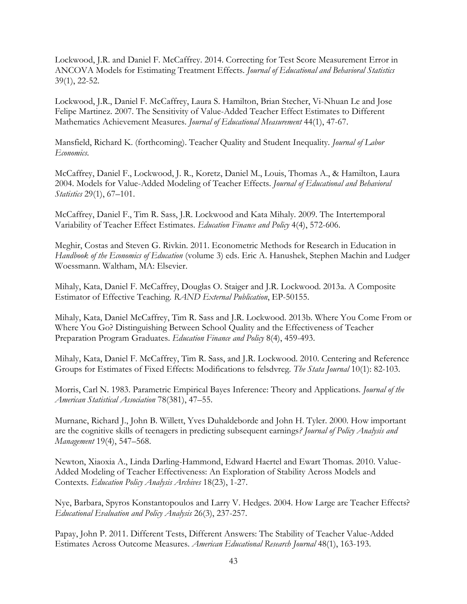Lockwood, J.R. and Daniel F. McCaffrey. 2014. Correcting for Test Score Measurement Error in ANCOVA Models for Estimating Treatment Effects. *Journal of Educational and Behavioral Statistics*  39(1), 22-52.

Lockwood, J.R., Daniel F. McCaffrey, Laura S. Hamilton, Brian Stecher, Vi-Nhuan Le and Jose Felipe Martinez. 2007. The Sensitivity of Value-Added Teacher Effect Estimates to Different Mathematics Achievement Measures. *Journal of Educational Measurement* 44(1), 47-67.

Mansfield, Richard K. (forthcoming). Teacher Quality and Student Inequality. *Journal of Labor Economics*.

McCaffrey, Daniel F., Lockwood, J. R., Koretz, Daniel M., Louis, Thomas A., & Hamilton, Laura 2004. Models for Value-Added Modeling of Teacher Effects. *Journal of Educational and Behavioral Statistics* 29(1), 67–101.

McCaffrey, Daniel F., Tim R. Sass, J.R. Lockwood and Kata Mihaly. 2009. The Intertemporal Variability of Teacher Effect Estimates. *Education Finance and Policy* 4(4), 572-606.

Meghir, Costas and Steven G. Rivkin. 2011. Econometric Methods for Research in Education in *Handbook of the Economics of Education* (volume 3) eds. Eric A. Hanushek, Stephen Machin and Ludger Woessmann. Waltham, MA: Elsevier.

Mihaly, Kata, Daniel F. McCaffrey, Douglas O. Staiger and J.R. Lockwood. 2013a. A Composite Estimator of Effective Teaching. *RAND External Publication*, EP-50155.

Mihaly, Kata, Daniel McCaffrey, Tim R. Sass and J.R. Lockwood. 2013b. Where You Come From or Where You Go? Distinguishing Between School Quality and the Effectiveness of Teacher Preparation Program Graduates. *Education Finance and Policy* 8(4), 459-493.

Mihaly, Kata, Daniel F. McCaffrey, Tim R. Sass, and J.R. Lockwood. 2010. Centering and Reference Groups for Estimates of Fixed Effects: Modifications to felsdvreg. *The Stata Journal* 10(1): 82-103.

Morris, Carl N. 1983. Parametric Empirical Bayes Inference: Theory and Applications. *Journal of the American Statistical Association* 78(381), 47–55.

Murnane, Richard J., John B. Willett, Yves Duhaldeborde and John H. Tyler. 2000. How important are the cognitive skills of teenagers in predicting subsequent earnings*? Journal of Policy Analysis and Management* 19(4), 547–568.

Newton, Xiaoxia A., Linda Darling-Hammond, Edward Haertel and Ewart Thomas. 2010. Value-Added Modeling of Teacher Effectiveness: An Exploration of Stability Across Models and Contexts. *Education Policy Analysis Archives* 18(23), 1-27.

Nye, Barbara, Spyros Konstantopoulos and Larry V. Hedges. 2004. How Large are Teacher Effects? *Educational Evaluation and Policy Analysis* 26(3), 237-257.

Papay, John P. 2011. Different Tests, Different Answers: The Stability of Teacher Value-Added Estimates Across Outcome Measures. *American Educational Research Journal* 48(1), 163-193.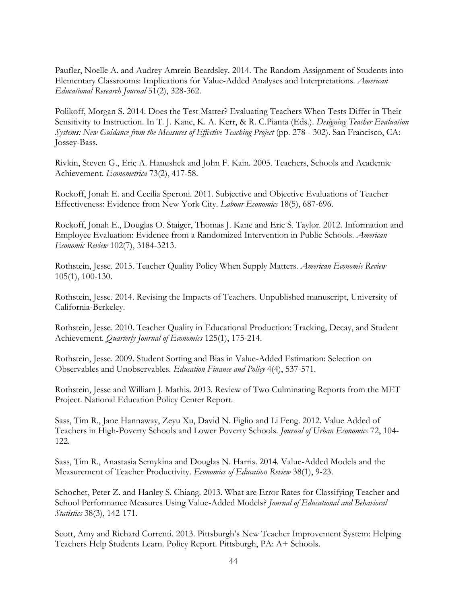Paufler, Noelle A. and Audrey Amrein-Beardsley. 2014. The Random Assignment of Students into Elementary Classrooms: Implications for Value-Added Analyses and Interpretations. *American Educational Research Journal* 51(2), 328-362.

Polikoff, Morgan S. 2014. Does the Test Matter? Evaluating Teachers When Tests Differ in Their Sensitivity to Instruction. In T. J. Kane, K. A. Kerr, & R. C.Pianta (Eds.). *Designing Teacher Evaluation Systems: New Guidance from the Measures of Effective Teaching Project* (pp. 278 - 302). San Francisco, CA: Jossey-Bass.

Rivkin, Steven G., Eric A. Hanushek and John F. Kain. 2005. Teachers, Schools and Academic Achievement. *Econometrica* 73(2), 417-58.

Rockoff, Jonah E. and Cecilia Speroni. 2011. Subjective and Objective Evaluations of Teacher Effectiveness: Evidence from New York City*. Labour Economics* 18(5), 687-696.

Rockoff, Jonah E., Douglas O. Staiger, Thomas J. Kane and Eric S. Taylor. 2012. Information and Employee Evaluation: Evidence from a Randomized Intervention in Public Schools. *American Economic Review* 102(7), 3184-3213.

Rothstein, Jesse. 2015. Teacher Quality Policy When Supply Matters. *American Economic Review* 105(1), 100-130.

Rothstein, Jesse. 2014. Revising the Impacts of Teachers. Unpublished manuscript, University of California-Berkeley.

Rothstein, Jesse. 2010. Teacher Quality in Educational Production: Tracking, Decay, and Student Achievement. *Quarterly Journal of Economics* 125(1), 175-214.

Rothstein, Jesse. 2009. Student Sorting and Bias in Value-Added Estimation: Selection on Observables and Unobservables. *Education Finance and Policy* 4(4), 537-571.

Rothstein, Jesse and William J. Mathis. 2013. Review of Two Culminating Reports from the MET Project. National Education Policy Center Report.

Sass, Tim R., Jane Hannaway, Zeyu Xu, David N. Figlio and Li Feng. 2012. Value Added of Teachers in High-Poverty Schools and Lower Poverty Schools. *Journal of Urban Economics* 72, 104- 122.

Sass, Tim R., Anastasia Semykina and Douglas N. Harris. 2014. Value-Added Models and the Measurement of Teacher Productivity. *Economics of Education Review* 38(1), 9-23.

Schochet, Peter Z. and Hanley S. Chiang. 2013. What are Error Rates for Classifying Teacher and School Performance Measures Using Value-Added Models? *Journal of Educational and Behavioral Statistics* 38(3), 142-171.

Scott, Amy and Richard Correnti. 2013. Pittsburgh's New Teacher Improvement System: Helping Teachers Help Students Learn. Policy Report. Pittsburgh, PA: A+ Schools.